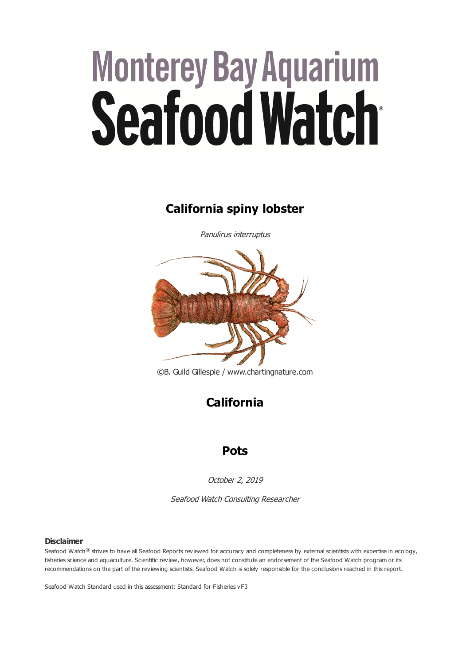# **Monterey Bay Aquarium Seafood Watch**

# **California spiny lobster**

Panulirus interruptus



©B. Guild Gillespie / www.chartingnature.com

**California**

# **Pots**

October 2, 2019

Seafood Watch Consulting Researcher

#### **Disclaimer**

Seafood Watch® strives to have all Seafood Reports reviewed for accuracy and completeness by external scientists with expertise in ecology, fisheries science and aquaculture. Scientific review, however, does not constitute an endorsement of the Seafood Watch program or its recommendations on the part of the reviewing scientists. Seafood Watch is solely responsible for the conclusions reached in this report.

Seafood Watch Standard used in this assessment: Standard for Fisheries vF3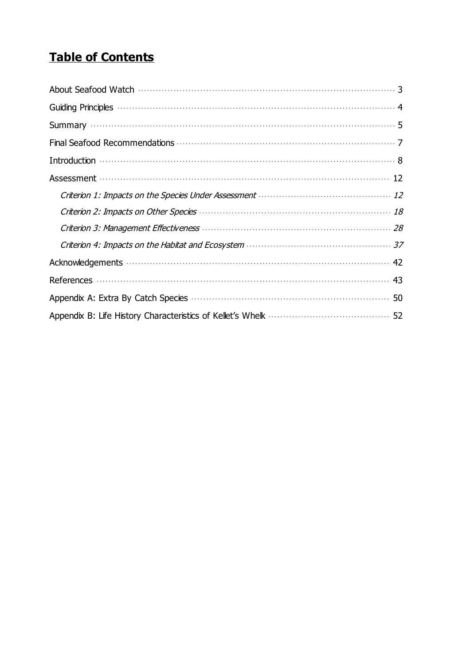# **Table of Contents**

| Introduction $\cdots$                                                                                                                                                                                                                |
|--------------------------------------------------------------------------------------------------------------------------------------------------------------------------------------------------------------------------------------|
| Assessment (12) and the contract of the contract of the contract of the contract of the contract of the contract of the contract of the contract of the contract of the contract of the contract of the contract of the contra       |
|                                                                                                                                                                                                                                      |
| Criterion 2: Impacts on Other Species <b>Manual According to the Criterion 2:</b> In 18                                                                                                                                              |
|                                                                                                                                                                                                                                      |
|                                                                                                                                                                                                                                      |
|                                                                                                                                                                                                                                      |
|                                                                                                                                                                                                                                      |
| Appendix A: Extra By Catch Species <b>Manufacture Contract Contract State State State State State State State State State State State State State State State State State State State State State State State State State State </b> |
|                                                                                                                                                                                                                                      |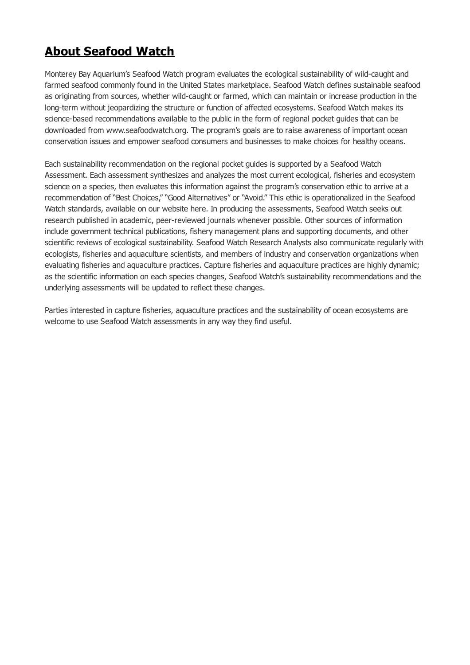# <span id="page-2-0"></span>**About Seafood Watch**

Monterey Bay Aquarium's Seafood Watch program evaluates the ecological sustainability of wild-caught and farmed seafood commonly found in the United States marketplace. Seafood Watch defines sustainable seafood as originating from sources, whether wild-caught or farmed, which can maintain or increase production in the long-term without jeopardizing the structure or function of affected ecosystems. Seafood Watch makes its science-based recommendations available to the public in the form of regional pocket guides that can be downloaded from www.seafoodwatch.org. The program's goals are to raise awareness of important ocean conservation issues and empower seafood consumers and businesses to make choices for healthy oceans.

Each sustainability recommendation on the regional pocket guides is supported by a Seafood Watch Assessment. Each assessment synthesizes and analyzes the most current ecological, fisheries and ecosystem science on a species, then evaluates this information against the program's conservation ethic to arrive at a recommendation of "Best Choices," "Good Alternatives" or "Avoid." This ethic is operationalized in the Seafood Watch standards, available on our website here. In producing the assessments, Seafood Watch seeks out research published in academic, peer-reviewed journals whenever possible. Other sources of information include government technical publications, fishery management plans and supporting documents, and other scientific reviews of ecological sustainability. Seafood Watch Research Analysts also communicate regularly with ecologists, fisheries and aquaculture scientists, and members of industry and conservation organizations when evaluating fisheries and aquaculture practices. Capture fisheries and aquaculture practices are highly dynamic; as the scientific information on each species changes, Seafood Watch's sustainability recommendations and the underlying assessments will be updated to reflect these changes.

Parties interested in capture fisheries, aquaculture practices and the sustainability of ocean ecosystems are welcome to use Seafood Watch assessments in any way they find useful.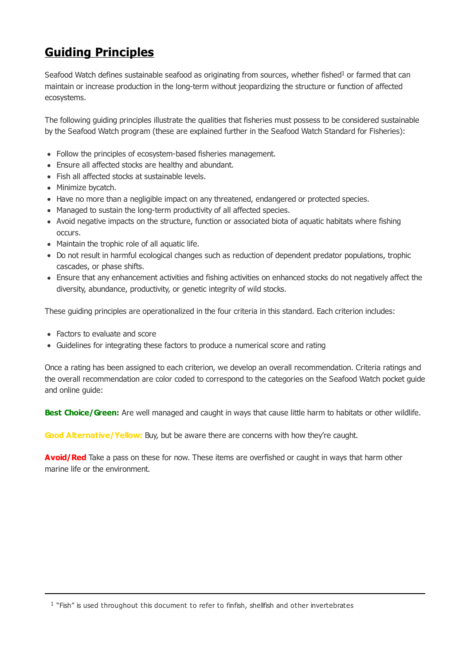# <span id="page-3-0"></span>**Guiding Principles**

Seafood Watch defines sustainable seafood as originating from sources, whether fished<sup>1</sup> or farmed that can maintain or increase production in the long-term without jeopardizing the structure or function of affected ecosystems.

The following guiding principles illustrate the qualities that fisheries must possess to be considered sustainable by the Seafood Watch program (these are explained further in the Seafood Watch Standard for Fisheries):

- Follow the principles of ecosystem-based fisheries management.
- Ensure all affected stocks are healthy and abundant.
- Fish all affected stocks at sustainable levels.
- Minimize bycatch.
- Have no more than a negligible impact on any threatened, endangered or protected species.
- Managed to sustain the long-term productivity of all affected species.
- Avoid negative impacts on the structure, function or associated biota of aquatic habitats where fishing occurs.
- Maintain the trophic role of all aquatic life.
- Do not result in harmful ecological changes such as reduction of dependent predator populations, trophic cascades, or phase shifts.
- Ensure that any enhancement activities and fishing activities on enhanced stocks do not negatively affect the diversity, abundance, productivity, or genetic integrity of wild stocks.

These guiding principles are operationalized in the four criteria in this standard. Each criterion includes:

- Factors to evaluate and score
- Guidelines for integrating these factors to produce a numerical score and rating

Once a rating has been assigned to each criterion, we develop an overall recommendation. Criteria ratings and the overall recommendation are color coded to correspond to the categories on the Seafood Watch pocket guide and online guide:

**Best Choice/Green:** Are well managed and caught in ways that cause little harm to habitats or other wildlife.

**Good Alternative/Yellow:** Buy, but be aware there are concerns with how they're caught.

**Avoid/Red** Take a pass on these for now. These items are overfished or caught in ways that harm other marine life or the environment.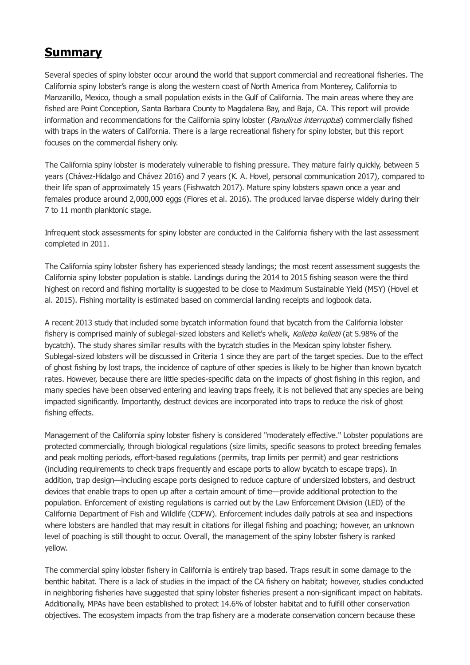# <span id="page-4-0"></span>**Summary**

Several species of spiny lobster occur around the world that support commercial and recreational fisheries. The California spiny lobster's range is along the western coast of North America from Monterey, California to Manzanillo, Mexico, though a small population exists in the Gulf of California. The main areas where they are fished are Point Conception, Santa Barbara County to Magdalena Bay, and Baja, CA. This report will provide information and recommendations for the California spiny lobster (*Panulirus interruptus*) commercially fished with traps in the waters of California. There is a large recreational fishery for spiny lobster, but this report focuses on the commercial fishery only.

The California spiny lobster is moderately vulnerable to fishing pressure. They mature fairly quickly, between 5 years (Chávez-Hidalgo and Chávez 2016) and 7 years (K. A. Hovel, personal communication 2017), compared to their life span of approximately 15 years (Fishwatch 2017). Mature spiny lobsters spawn once a year and females produce around 2,000,000 eggs (Flores et al. 2016). The produced larvae disperse widely during their 7 to 11 month planktonic stage.

Infrequent stock assessments for spiny lobster are conducted in the California fishery with the last assessment completed in 2011.

The California spiny lobster fishery has experienced steady landings; the most recent assessment suggests the California spiny lobster population is stable. Landings during the 2014 to 2015 fishing season were the third highest on record and fishing mortality is suggested to be close to Maximum Sustainable Yield (MSY) (Hovel et al. 2015). Fishing mortality is estimated based on commercial landing receipts and logbook data.

A recent 2013 study that included some bycatch information found that bycatch from the California lobster fishery is comprised mainly of sublegal-sized lobsters and Kellet's whelk, Kelletia kelletii (at 5.98% of the bycatch). The study shares similar results with the bycatch studies in the Mexican spiny lobster fishery. Sublegal-sized lobsters will be discussed in Criteria 1 since they are part of the target species. Due to the effect of ghost fishing by lost traps, the incidence of capture of other species is likely to be higher than known bycatch rates. However, because there are little species-specific data on the impacts of ghost fishing in this region, and many species have been observed entering and leaving traps freely, it is not believed that any species are being impacted significantly. Importantly, destruct devices are incorporated into traps to reduce the risk of ghost fishing effects.

Management of the California spiny lobster fishery is considered "moderately effective." Lobster populations are protected commercially, through biological regulations (size limits, specific seasons to protect breeding females and peak molting periods, effort-based regulations (permits, trap limits per permit) and gear restrictions (including requirements to check traps frequently and escape ports to allow bycatch to escape traps). In addition, trap design—including escape ports designed to reduce capture of undersized lobsters, and destruct devices that enable traps to open up after a certain amount of time—provide additional protection to the population. Enforcement of existing regulations is carried out by the Law Enforcement Division (LED) of the California Department of Fish and Wildlife (CDFW). Enforcement includes daily patrols at sea and inspections where lobsters are handled that may result in citations for illegal fishing and poaching; however, an unknown level of poaching is still thought to occur. Overall, the management of the spiny lobster fishery is ranked yellow.

The commercial spiny lobster fishery in California is entirely trap based. Traps result in some damage to the benthic habitat. There is a lack of studies in the impact of the CA fishery on habitat; however, studies conducted in neighboring fisheries have suggested that spiny lobster fisheries present a non-significant impact on habitats. Additionally, MPAs have been established to protect 14.6% of lobster habitat and to fulfill other conservation objectives. The ecosystem impacts from the trap fishery are a moderate conservation concern because these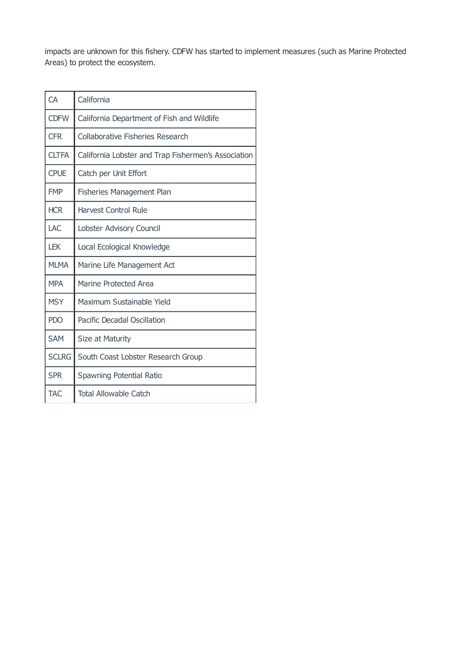impacts are unknown for this fishery. CDFW has started to implement measures (such as Marine Protected Areas) to protect the ecosystem.

| CA           | California                                          |
|--------------|-----------------------------------------------------|
| <b>CDFW</b>  | California Department of Fish and Wildlife          |
| <b>CFR</b>   | Collaborative Fisheries Research                    |
| <b>CLTFA</b> | California Lobster and Trap Fishermen's Association |
| <b>CPUE</b>  | Catch per Unit Effort                               |
| <b>FMP</b>   | <b>Fisheries Management Plan</b>                    |
| <b>HCR</b>   | <b>Harvest Control Rule</b>                         |
| LAC          | Lobster Advisory Council                            |
| <b>LEK</b>   | Local Ecological Knowledge                          |
| <b>MLMA</b>  | Marine Life Management Act                          |
| <b>MPA</b>   | <b>Marine Protected Area</b>                        |
| <b>MSY</b>   | Maximum Sustainable Yield                           |
| <b>PDO</b>   | Pacific Decadal Oscillation                         |
| <b>SAM</b>   | Size at Maturity                                    |
| <b>SCLRG</b> | South Coast Lobster Research Group                  |
| <b>SPR</b>   | Spawning Potential Ratio                            |
| <b>TAC</b>   | <b>Total Allowable Catch</b>                        |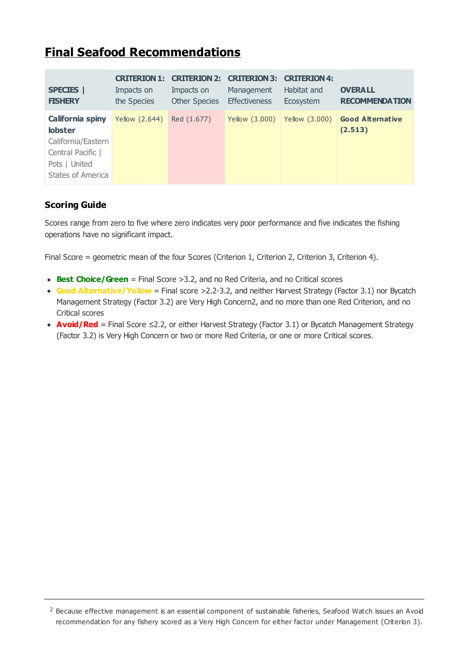# <span id="page-6-0"></span>**Final Seafood Recommendations**

| <b>SPECIES</b><br><b>FISHERY</b>                                                                                                  | <b>CRITERION 1:</b><br>Impacts on<br>the Species | <b>CRITERION 2:</b><br>Impacts on<br><b>Other Species</b> | <b>CRITERION 3:</b><br>Management<br><b>Effectiveness</b> | <b>CRITERION 4:</b><br>Habitat and<br>Ecosystem | <b>OVERALL</b><br><b>RECOMMENDATION</b> |
|-----------------------------------------------------------------------------------------------------------------------------------|--------------------------------------------------|-----------------------------------------------------------|-----------------------------------------------------------|-------------------------------------------------|-----------------------------------------|
| <b>California spiny</b><br><b>lobster</b><br>California/Eastern<br>Central Pacific  <br>Pots   United<br><b>States of America</b> | Yellow (2.644)                                   | Red (1.677)                                               | Yellow (3.000)                                            | Yellow (3.000)                                  | <b>Good Alternative</b><br>(2.513)      |

# **Scoring Guide**

Scores range from zero to five where zero indicates very poor performance and five indicates the fishing operations have no significant impact.

Final Score = geometric mean of the four Scores (Criterion 1, Criterion 2, Criterion 3, Criterion 4).

- **Best Choice/Green** = Final Score >3.2, and no Red Criteria, and no Critical scores
- Good Alternative/ Yellow = Final score >2.2-3.2, and neither Harvest Strategy (Factor 3.1) nor Bycatch Management Strategy (Factor 3.2) are Very High Concern2, and no more than one Red Criterion, and no Critical scores
- **Avoid/Red** = Final Score ≤2.2, or either Harvest Strategy (Factor 3.1) or Bycatch Management Strategy (Factor 3.2) is Very High Concern or two or more Red Criteria, or one or more Critical scores.

 $2$  Because effective management is an essential component of sustainable fisheries, Seafood Watch issues an Avoid recommendation for any fishery scored as a Very High Concern for either factor under Management (Criterion 3).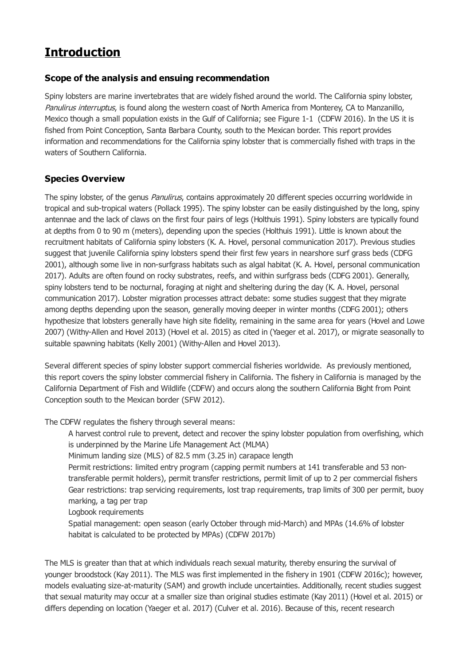# <span id="page-7-0"></span>**Introduction**

# **Scope of the analysis and ensuing recommendation**

Spiny lobsters are marine invertebrates that are widely fished around the world. The California spiny lobster, Panulirus interruptus, is found along the western coast of North America from Monterey, CA to Manzanillo, Mexico though a small population exists in the Gulf of California; see Figure 1-1 (CDFW 2016). In the US it is fished from Point Conception, Santa Barbara County, south to the Mexican border. This report provides information and recommendations for the California spiny lobster that is commercially fished with traps in the waters of Southern California.

# **Species Overview**

The spiny lobster, of the genus *Panulirus*, contains approximately 20 different species occurring worldwide in tropical and sub-tropical waters (Pollack 1995). The spiny lobster can be easily distinguished by the long, spiny antennae and the lack of claws on the first four pairs of legs (Holthuis 1991). Spiny lobsters are typically found at depths from 0 to 90 m (meters), depending upon the species (Holthuis 1991). Little is known about the recruitment habitats of California spiny lobsters (K. A. Hovel, personal communication 2017). Previous studies suggest that juvenile California spiny lobsters spend their first few years in nearshore surf grass beds (CDFG 2001), although some live in non-surfgrass habitats such as algal habitat (K. A. Hovel, personal communication 2017). Adults are often found on rocky substrates, reefs, and within surfgrass beds (CDFG 2001). Generally, spiny lobsters tend to be nocturnal, foraging at night and sheltering during the day (K. A. Hovel, personal communication 2017). Lobster migration processes attract debate: some studies suggest that they migrate among depths depending upon the season, generally moving deeper in winter months (CDFG 2001); others hypothesize that lobsters generally have high site fidelity, remaining in the same area for years (Hovel and Lowe 2007) (Withy-Allen and Hovel 2013) (Hovel et al. 2015) as cited in (Yaeger et al. 2017), or migrate seasonally to suitable spawning habitats (Kelly 2001) (Withy-Allen and Hovel 2013).

Several different species of spiny lobster support commercial fisheries worldwide. As previously mentioned, this report covers the spiny lobster commercial fishery in California. The fishery in California is managed by the California Department of Fish and Wildlife (CDFW) and occurs along the southern California Bight from Point Conception south to the Mexican border (SFW 2012).

The CDFW regulates the fishery through several means:

A harvest control rule to prevent, detect and recover the spiny lobster population from overfishing, which is underpinned by the Marine Life Management Act (MLMA)

Minimum landing size (MLS) of 82.5 mm (3.25 in) carapace length

Permit restrictions: limited entry program (capping permit numbers at 141 transferable and 53 nontransferable permit holders), permit transfer restrictions, permit limit of up to 2 per commercial fishers Gear restrictions: trap servicing requirements, lost trap requirements, trap limits of 300 per permit, buoy marking, a tag per trap

Logbook requirements

Spatial management: open season (early October through mid-March) and MPAs (14.6% of lobster habitat is calculated to be protected by MPAs) (CDFW 2017b)

The MLS is greater than that at which individuals reach sexual maturity, thereby ensuring the survival of younger broodstock (Kay 2011). The MLS was first implemented in the fishery in 1901 (CDFW 2016c); however, models evaluating size-at-maturity (SAM) and growth include uncertainties. Additionally, recent studies suggest that sexual maturity may occur at a smaller size than original studies estimate (Kay 2011) (Hovel et al. 2015) or differs depending on location (Yaeger et al. 2017) (Culver et al. 2016). Because of this, recent research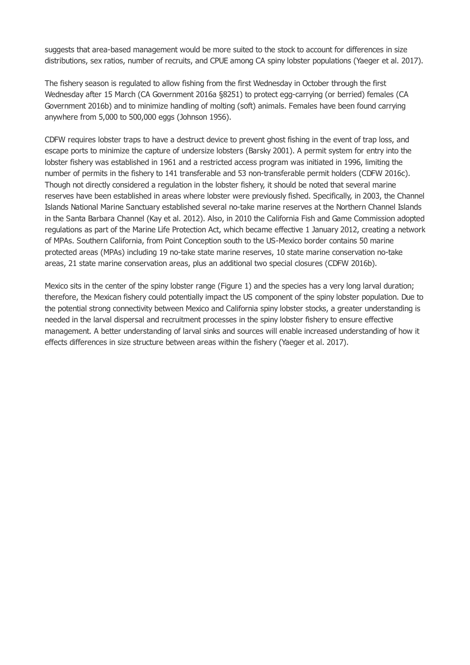suggests that area-based management would be more suited to the stock to account for differences in size distributions, sex ratios, number of recruits, and CPUE among CA spiny lobster populations (Yaeger et al. 2017).

The fishery season is regulated to allow fishing from the first Wednesday in October through the first Wednesday after 15 March (CA Government 2016a §8251) to protect egg-carrying (or berried) females (CA Government 2016b) and to minimize handling of molting (soft) animals. Females have been found carrying anywhere from 5,000 to 500,000 eggs (Johnson 1956).

CDFW requires lobster traps to have a destruct device to prevent ghost fishing in the event of trap loss, and escape ports to minimize the capture of undersize lobsters (Barsky 2001). A permit system for entry into the lobster fishery was established in 1961 and a restricted access program was initiated in 1996, limiting the number of permits in the fishery to 141 transferable and 53 non-transferable permit holders (CDFW 2016c). Though not directly considered a regulation in the lobster fishery, it should be noted that several marine reserves have been established in areas where lobster were previously fished. Specifically, in 2003, the Channel Islands National Marine Sanctuary established several no-take marine reserves at the Northern Channel Islands in the Santa Barbara Channel (Kay et al. 2012). Also, in 2010 the California Fish and Game Commission adopted regulations as part of the Marine Life Protection Act, which became effective 1 January 2012, creating a network of MPAs. Southern California, from Point Conception south to the US-Mexico border contains 50 marine protected areas (MPAs) including 19 no-take state marine reserves, 10 state marine conservation no-take areas, 21 state marine conservation areas, plus an additional two special closures (CDFW 2016b).

Mexico sits in the center of the spiny lobster range (Figure 1) and the species has a very long larval duration; therefore, the Mexican fishery could potentially impact the US component of the spiny lobster population. Due to the potential strong connectivity between Mexico and California spiny lobster stocks, a greater understanding is needed in the larval dispersal and recruitment processes in the spiny lobster fishery to ensure effective management. A better understanding of larval sinks and sources will enable increased understanding of how it effects differences in size structure between areas within the fishery (Yaeger et al. 2017).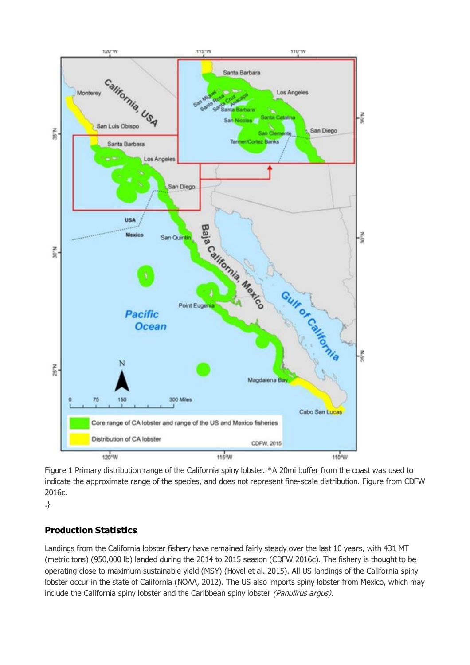

Figure 1 Primary distribution range of the California spiny lobster. \*A 20mi buffer from the coast was used to indicate the approximate range of the species, and does not represent fine-scale distribution. Figure from CDFW 2016c.

.}

# **Production Statistics**

Landings from the California lobster fishery have remained fairly steady over the last 10 years, with 431 MT (metric tons) (950,000 lb) landed during the 2014 to 2015 season (CDFW 2016c). The fishery is thought to be operating close to maximum sustainable yield (MSY) (Hovel et al. 2015). All US landings of the California spiny lobster occur in the state of California (NOAA, 2012). The US also imports spiny lobster from Mexico, which may include the California spiny lobster and the Caribbean spiny lobster (Panulirus argus).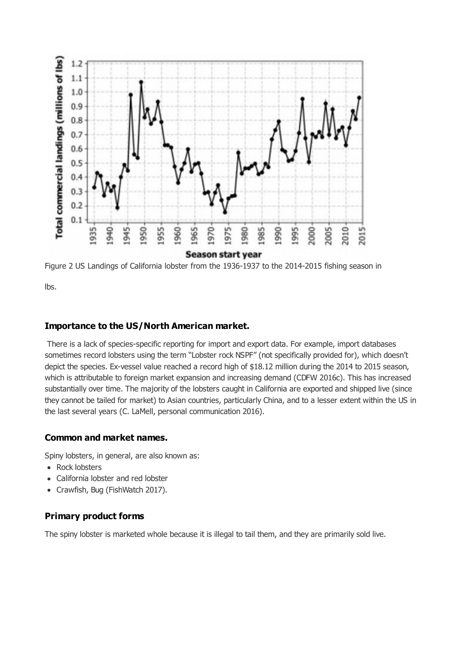

Figure 2 US Landings of California lobster from the 1936-1937 to the 2014-2015 fishing season in

lbs.

# **Importance to the US/North American market.**

 There is a lack of species-specific reporting for import and export data. For example, import databases sometimes record lobsters using the term "Lobster rock NSPF" (not specifically provided for), which doesn't depict the species. Ex-vessel value reached a record high of \$18.12 million during the 2014 to 2015 season, which is attributable to foreign market expansion and increasing demand (CDFW 2016c). This has increased substantially over time. The majority of the lobsters caught in California are exported and shipped live (since they cannot be tailed for market) to Asian countries, particularly China, and to a lesser extent within the US in the last several years (C. LaMell, personal communication 2016).

## **Common and market names.**

Spiny lobsters, in general, are also known as:

- Rock lobsters
- California lobster and red lobster
- Crawfish, Bug (FishWatch 2017).  $\bullet$

# **Primary product forms**

The spiny lobster is marketed whole because it is illegal to tail them, and they are primarily sold live.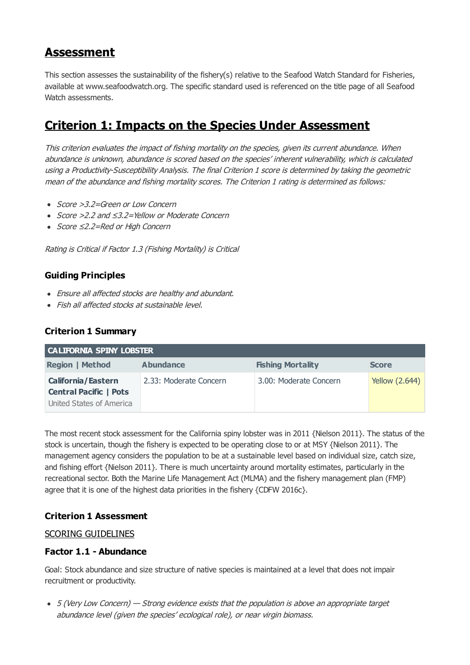# <span id="page-11-0"></span>**Assessment**

This section assesses the sustainability of the fishery(s) relative to the Seafood Watch Standard for Fisheries, available at www.seafoodwatch.org. The specific standard used is referenced on the title page of all Seafood Watch assessments.

# <span id="page-11-1"></span>**Criterion 1: Impacts on the Species Under Assessment**

This criterion evaluates the impact of fishing mortality on the species, given its current abundance. When abundance is unknown, abundance is scored based on the species' inherent vulnerability, which is calculated using <sup>a</sup> Productivity-Susceptibility Analysis. The final Criterion 1 score is determined by taking the geometric mean of the abundance and fishing mortality scores. The Criterion 1 rating is determined as follows:

- Score > 3.2=Green or Low Concern
- Score >2.2 and ≤3.2=Yellow or Moderate Concern
- Score ≤2.2=Red or High Concern

Rating is Critical if Factor 1.3 (Fishing Mortality) is Critical

# **Guiding Principles**

- Ensure all affected stocks are healthy and abundant.
- Fish all affected stocks at sustainable level.

# **Criterion 1 Summary**

| <b>CALIFORNIA SPINY LOBSTER</b> |                        |                          |                       |  |  |
|---------------------------------|------------------------|--------------------------|-----------------------|--|--|
| <b>Region   Method</b>          | <b>Abundance</b>       | <b>Fishing Mortality</b> | <b>Score</b>          |  |  |
| <b>California/Eastern</b>       | 2.33: Moderate Concern | 3.00: Moderate Concern   | <b>Yellow (2.644)</b> |  |  |
| <b>Central Pacific   Pots</b>   |                        |                          |                       |  |  |
| United States of America        |                        |                          |                       |  |  |

The most recent stock assessment for the California spiny lobster was in 2011 {Nielson 2011}. The status of the stock is uncertain, though the fishery is expected to be operating close to or at MSY {Nielson 2011}. The management agency considers the population to be at a sustainable level based on individual size, catch size, and fishing effort {Nielson 2011}. There is much uncertainty around mortality estimates, particularly in the recreational sector. Both the Marine Life Management Act (MLMA) and the fishery management plan (FMP) agree that it is one of the highest data priorities in the fishery {CDFW 2016c}.

# **Criterion 1 Assessment**

## SCORING GUIDELINES

# **Factor 1.1 - Abundance**

Goal: Stock abundance and size structure of native species is maintained at a level that does not impair recruitment or productivity.

• 5 (Very Low Concern) — Strong evidence exists that the population is above an appropriate target abundance level (given the species' ecological role), or near virgin biomass.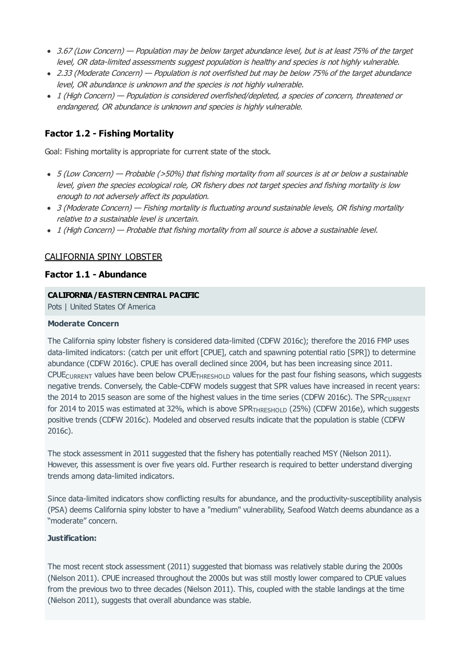- 3.67 (Low Concern) Population may be below target abundance level, but is at least 75% of the target level, OR data-limited assessments suggest population is healthy and species is not highly vulnerable.
- 2.33 (Moderate Concern) Population is not overfished but may be below 75% of the target abundance level, OR abundance is unknown and the species is not highly vulnerable.
- 1 (High Concern) Population is considered overfished/depleted, a species of concern, threatened or endangered, OR abundance is unknown and species is highly vulnerable.

# **Factor 1.2 - Fishing Mortality**

Goal: Fishing mortality is appropriate for current state of the stock.

- 5 (Low Concern) Probable (>50%) that fishing mortality from all sources is at or below a sustainable level, given the species ecological role, OR fishery does not target species and fishing mortality is low enough to not adversely affect its population.
- 3 (Moderate Concern) Fishing mortality is fluctuating around sustainable levels, OR fishing mortality relative to a sustainable level is uncertain.
- 1 (High Concern) Probable that fishing mortality from all source is above a sustainable level.

## CALIFORNIA SPINY LOBSTER

## **Factor 1.1 - Abundance**

#### **CALIFORNIA/EASTERN CENTRAL PACIFIC**

Pots | United States Of America

#### **Moderate Concern**

The California spiny lobster fishery is considered data-limited (CDFW 2016c); therefore the 2016 FMP uses data-limited indicators: (catch per unit effort [CPUE], catch and spawning potential ratio [SPR]) to determine abundance (CDFW 2016c). CPUE has overall declined since 2004, but has been increasing since 2011. CPUE<sub>CURRENT</sub> values have been below CPUE<sub>THRESHOLD</sub> values for the past four fishing seasons, which suggests negative trends. Conversely, the Cable-CDFW models suggest that SPR values have increased in recent years: the 2014 to 2015 season are some of the highest values in the time series (CDFW 2016c). The SPR<sub>CURRENT</sub> for 2014 to 2015 was estimated at 32%, which is above SPR<sub>THRESHOLD</sub> (25%) (CDFW 2016e), which suggests positive trends (CDFW 2016c). Modeled and observed results indicate that the population is stable (CDFW 2016c).

The stock assessment in 2011 suggested that the fishery has potentially reached MSY (Nielson 2011). However, this assessment is over five years old. Further research is required to better understand diverging trends among data-limited indicators.

Since data-limited indicators show conflicting results for abundance, and the productivity-susceptibility analysis (PSA) deems California spiny lobster to have a "medium" vulnerability, Seafood Watch deems abundance as a "moderate" concern.

#### **Justification:**

The most recent stock assessment (2011) suggested that biomass was relatively stable during the 2000s (Nielson 2011). CPUE increased throughout the 2000s but was still mostly lower compared to CPUE values from the previous two to three decades (Nielson 2011). This, coupled with the stable landings at the time (Nielson 2011), suggests that overall abundance was stable.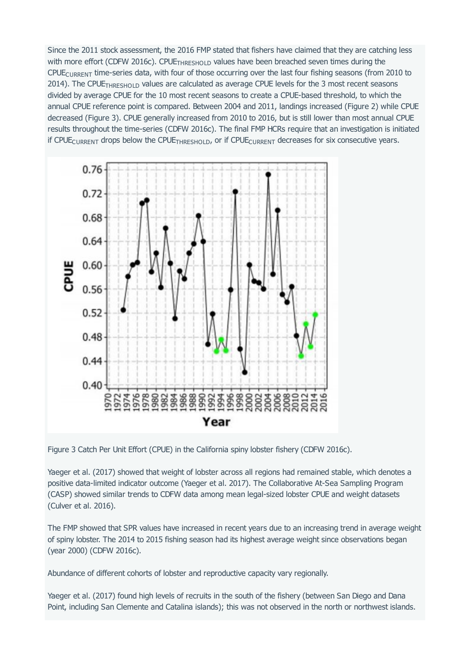Since the 2011 stock assessment, the 2016 FMP stated that fishers have claimed that they are catching less with more effort (CDFW 2016c). CPUE<sub>THRESHOLD</sub> values have been breached seven times during the  $C$ PUE<sub>CURRENT</sub> time-series data, with four of those occurring over the last four fishing seasons (from 2010 to 2014). The CPUE<sub>THRESHOLD</sub> values are calculated as average CPUE levels for the 3 most recent seasons divided by average CPUE for the 10 most recent seasons to create a CPUE-based threshold, to which the annual CPUE reference point is compared. Between 2004 and 2011, landings increased (Figure 2) while CPUE decreased (Figure 3). CPUE generally increased from 2010 to 2016, but is still lower than most annual CPUE results throughout the time-series (CDFW 2016c). The final FMP HCRs require that an investigation is initiated if CPUE  $_{\text{CURRENT}}$  drops below the CPUE  $_{\text{THRESHOLD}}$ , or if CPUE  $_{\text{CURRENT}}$  decreases for six consecutive years.



Figure 3 Catch Per Unit Effort (CPUE) in the California spiny lobster fishery (CDFW 2016c).

Yaeger et al. (2017) showed that weight of lobster across all regions had remained stable, which denotes a positive data-limited indicator outcome (Yaeger et al. 2017). The Collaborative At-Sea Sampling Program (CASP) showed similar trends to CDFW data among mean legal-sized lobster CPUE and weight datasets (Culver et al. 2016).

The FMP showed that SPR values have increased in recent years due to an increasing trend in average weight of spiny lobster. The 2014 to 2015 fishing season had its highest average weight since observations began (year 2000) (CDFW 2016c).

Abundance of different cohorts of lobster and reproductive capacity vary regionally.

Yaeger et al. (2017) found high levels of recruits in the south of the fishery (between San Diego and Dana Point, including San Clemente and Catalina islands); this was not observed in the north or northwest islands.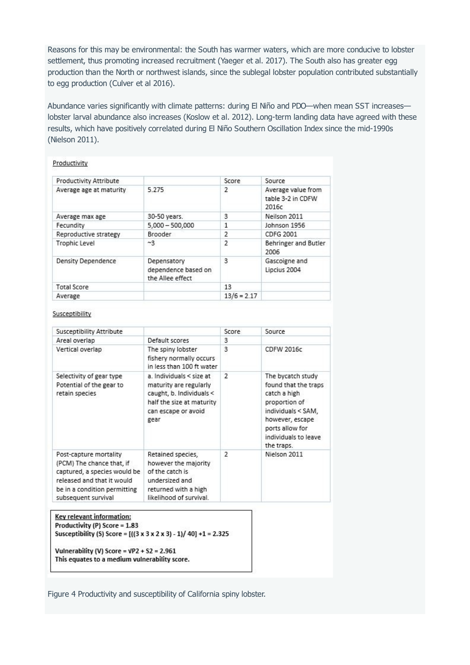Reasons for this may be environmental: the South has warmer waters, which are more conducive to lobster settlement, thus promoting increased recruitment (Yaeger et al. 2017). The South also has greater egg production than the North or northwest islands, since the sublegal lobster population contributed substantially to egg production (Culver et al 2016).

Abundance varies significantly with climate patterns: during El Niño and PDO—when mean SST increases lobster larval abundance also increases (Koslow et al. 2012). Long-term landing data have agreed with these results, which have positively correlated during El Niño Southern Oscillation Index since the mid-1990s (Nielson 2011).

#### Productivity

| Productivity Attribute    |                                                        | Score          | Source                                           |
|---------------------------|--------------------------------------------------------|----------------|--------------------------------------------------|
| Average age at maturity   | 5.275                                                  | 2              | Average value from<br>table 3-2 in CDFW<br>2016c |
| Average max age           | 30-50 years.                                           | 3              | Neilson 2011                                     |
| Fecundity                 | $5,000 - 500,000$                                      | 1              | Johnson 1956                                     |
| Reproductive strategy     | Brooder                                                | 2              | CDFG 2001                                        |
| <b>Trophic Level</b>      | ~1                                                     | $\overline{2}$ | Behringer and Butler<br>2006                     |
| <b>Density Dependence</b> | Depensatory<br>dependence based on<br>the Allee effect | 3              | Gascoigne and<br>Lipcius 2004                    |
| <b>Total Score</b>        |                                                        | 13             |                                                  |
| Average                   |                                                        | $13/6 = 2.17$  |                                                  |

#### Susceptibility

| Susceptibility Attribute                                                                                                                                                 |                                                                                                                                                | Score                   | Source                                                                                                                                                                       |
|--------------------------------------------------------------------------------------------------------------------------------------------------------------------------|------------------------------------------------------------------------------------------------------------------------------------------------|-------------------------|------------------------------------------------------------------------------------------------------------------------------------------------------------------------------|
| Areal overlap                                                                                                                                                            | Default scores                                                                                                                                 | 3                       |                                                                                                                                                                              |
| Vertical overlap                                                                                                                                                         | The spiny lobster<br>fishery normally occurs<br>in less than 100 ft water                                                                      | 3                       | <b>CDFW 2016c</b>                                                                                                                                                            |
| Selectivity of gear type<br>Potential of the gear to<br>retain species                                                                                                   | a. Individuals $\le$ size at<br>maturity are regularly<br>caught, b. Individuals <<br>half the size at maturity<br>can escape or avoid<br>gear | $\overline{\mathbf{z}}$ | The bycatch study<br>found that the traps<br>catch a high<br>proportion of<br>individuals < SAM.<br>however, escape<br>ports allow for<br>individuals to leave<br>the traps. |
| Post-capture mortality<br>(PCM) The chance that, if<br>captured, a species would be<br>released and that it would<br>be in a condition permitting<br>subsequent survival | Retained species,<br>however the majority<br>of the catch is<br>undersized and<br>returned with a high<br>likelihood of survival.              | 2                       | Nielson 2011                                                                                                                                                                 |

Key relevant information: Productivity (P) Score = 1.83 Susceptibility (S) Score = [((3 x 3 x 2 x 3) - 1)/ 40] +1 = 2.325

Vulnerability (V) Score =  $VP2 + S2 = 2.961$ This equates to a medium vulnerability score.

Figure 4 Productivity and susceptibility of California spiny lobster.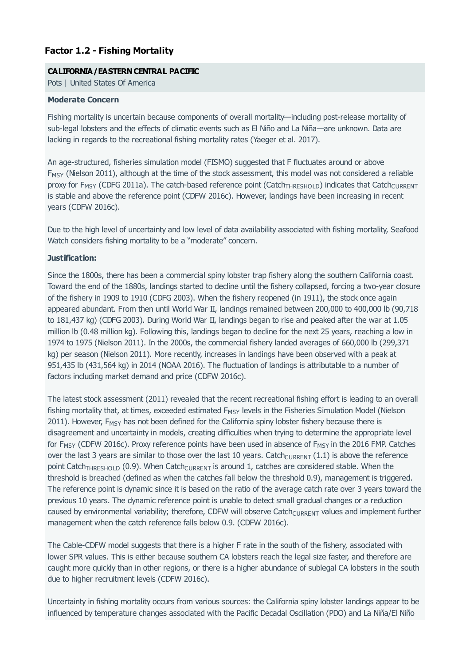# **Factor 1.2 - Fishing Mortality**

#### **CALIFORNIA/EASTERN CENTRAL PACIFIC**

Pots | United States Of America

#### **Moderate Concern**

Fishing mortality is uncertain because components of overall mortality—including post-release mortality of sub-legal lobsters and the effects of climatic events such as El Niño and La Niña—are unknown. Data are lacking in regards to the recreational fishing mortality rates (Yaeger et al. 2017).

An age-structured, fisheries simulation model (FISMO) suggested that F fluctuates around or above  $F_{\text{MSY}}$  (Nielson 2011), although at the time of the stock assessment, this model was not considered a reliable proxy for F<sub>MSY</sub> (CDFG 2011a). The catch-based reference point (Catch<sub>THRESHOLD</sub>) indicates that Catch<sub>CURRENT</sub> is stable and above the reference point (CDFW 2016c). However, landings have been increasing in recent years (CDFW 2016c).

Due to the high level of uncertainty and low level of data availability associated with fishing mortality, Seafood Watch considers fishing mortality to be a "moderate" concern.

#### **Justification:**

Since the 1800s, there has been a commercial spiny lobster trap fishery along the southern California coast. Toward the end of the 1880s, landings started to decline until the fishery collapsed, forcing a two-year closure of the fishery in 1909 to 1910 (CDFG 2003). When the fishery reopened (in 1911), the stock once again appeared abundant. From then until World War II, landings remained between 200,000 to 400,000 lb (90,718 to 181,437 kg) (CDFG 2003). During World War II, landings began to rise and peaked after the war at 1.05 million lb (0.48 million kg). Following this, landings began to decline for the next 25 years, reaching a low in 1974 to 1975 (Nielson 2011). In the 2000s, the commercial fishery landed averages of 660,000 lb (299,371 kg) per season (Nielson 2011). More recently, increases in landings have been observed with a peak at 951,435 lb (431,564 kg) in 2014 (NOAA 2016). The fluctuation of landings is attributable to a number of factors including market demand and price (CDFW 2016c).

The latest stock assessment (2011) revealed that the recent recreational fishing effort is leading to an overall fishing mortality that, at times, exceeded estimated  $F_{MSY}$  levels in the Fisheries Simulation Model (Nielson 2011). However,  $F_{MSY}$  has not been defined for the California spiny lobster fishery because there is disagreement and uncertainty in models, creating difficulties when trying to determine the appropriate level for F<sub>MSY</sub> (CDFW 2016c). Proxy reference points have been used in absence of F<sub>MSY</sub> in the 2016 FMP. Catches over the last 3 years are similar to those over the last 10 years. Catch $_{\text{CURRENT}}(1.1)$  is above the reference point Catch<sub>THRESHOLD</sub> (0.9). When Catch<sub>CURRENT</sub> is around 1, catches are considered stable. When the threshold is breached (defined as when the catches fall below the threshold 0.9), management is triggered. The reference point is dynamic since it is based on the ratio of the average catch rate over 3 years toward the previous 10 years. The dynamic reference point is unable to detect small gradual changes or a reduction caused by environmental variability; therefore, CDFW will observe Catch<sub>CURRENT</sub> values and implement further management when the catch reference falls below 0.9. (CDFW 2016c).

The Cable-CDFW model suggests that there is a higher F rate in the south of the fishery, associated with lower SPR values. This is either because southern CA lobsters reach the legal size faster, and therefore are caught more quickly than in other regions, or there is a higher abundance of sublegal CA lobsters in the south due to higher recruitment levels (CDFW 2016c).

Uncertainty in fishing mortality occurs from various sources: the California spiny lobster landings appear to be influenced by temperature changes associated with the Pacific Decadal Oscillation (PDO) and La Niña/El Niño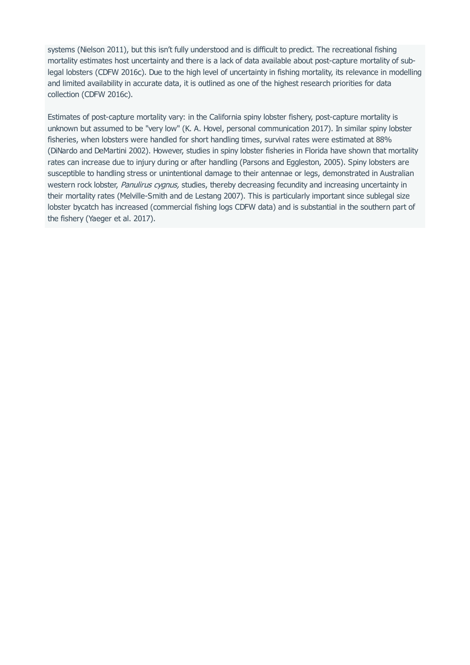systems (Nielson 2011), but this isn't fully understood and is difficult to predict. The recreational fishing mortality estimates host uncertainty and there is a lack of data available about post-capture mortality of sublegal lobsters (CDFW 2016c). Due to the high level of uncertainty in fishing mortality, its relevance in modelling and limited availability in accurate data, it is outlined as one of the highest research priorities for data collection (CDFW 2016c).

Estimates of post-capture mortality vary: in the California spiny lobster fishery, post-capture mortality is unknown but assumed to be "very low" (K. A. Hovel, personal communication 2017). In similar spiny lobster fisheries, when lobsters were handled for short handling times, survival rates were estimated at 88% (DiNardo and DeMartini 2002). However, studies in spiny lobster fisheries in Florida have shown that mortality rates can increase due to injury during or after handling (Parsons and Eggleston, 2005). Spiny lobsters are susceptible to handling stress or unintentional damage to their antennae or legs, demonstrated in Australian western rock lobster, Panulirus cygnus, studies, thereby decreasing fecundity and increasing uncertainty in their mortality rates (Melville-Smith and de Lestang 2007). This is particularly important since sublegal size lobster bycatch has increased (commercial fishing logs CDFW data) and is substantial in the southern part of the fishery (Yaeger et al. 2017).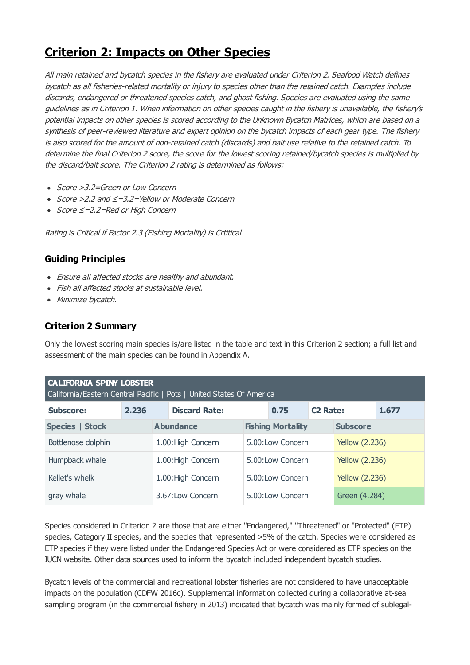# <span id="page-17-0"></span>**Criterion 2: Impacts on Other Species**

All main retained and bycatch species in the fishery are evaluated under Criterion 2. Seafood Watch defines bycatch as all fisheries-related mortality or injury to species other than the retained catch. Examples include discards, endangered or threatened species catch, and ghost fishing. Species are evaluated using the same guidelines as in Criterion 1. When information on other species caught in the fishery is unavailable, the fishery's potential impacts on other species is scored according to the Unknown Bycatch Matrices, which are based on <sup>a</sup> synthesis of peer-reviewed literature and expert opinion on the bycatch impacts of each gear type. The fishery is also scored for the amount of non-retained catch (discards) and bait use relative to the retained catch. To determine the final Criterion 2 score, the score for the lowest scoring retained/bycatch species is multiplied by the discard/bait score. The Criterion 2 rating is determined as follows:

- Score >3.2=Green or Low Concern
- Score >2.2 and ≤=3.2=Yellow or Moderate Concern
- Score ≤=2.2=Red or High Concern

Rating is Critical if Factor 2.3 (Fishing Mortality) is Crtitical

# **Guiding Principles**

- Ensure all affected stocks are healthy and abundant.
- Fish all affected stocks at sustainable level.
- Minimize bycatch.

# **Criterion 2 Summary**

Only the lowest scoring main species is/are listed in the table and text in this Criterion 2 section; a full list and assessment of the main species can be found in Appendix A.

| <b>CALIFORNIA SPINY LOBSTER</b><br>California/Eastern Central Pacific   Pots   United States Of America |       |                    |                      |                  |                          |                       |                       |       |
|---------------------------------------------------------------------------------------------------------|-------|--------------------|----------------------|------------------|--------------------------|-----------------------|-----------------------|-------|
| <b>Subscore:</b>                                                                                        | 2.236 |                    | <b>Discard Rate:</b> |                  | 0.75                     | <b>C2 Rate:</b>       |                       | 1.677 |
| <b>Species   Stock</b>                                                                                  |       |                    | <b>Abundance</b>     |                  | <b>Fishing Mortality</b> |                       | <b>Subscore</b>       |       |
| Bottlenose dolphin                                                                                      |       | 1.00: High Concern |                      | 5.00:Low Concern |                          | <b>Yellow (2.236)</b> |                       |       |
| Humpback whale<br>1.00: High Concern                                                                    |       |                    | 5.00:Low Concern     |                  | <b>Yellow (2.236)</b>    |                       |                       |       |
| Kellet's whelk                                                                                          |       |                    | 1.00: High Concern   |                  | 5.00:Low Concern         |                       | <b>Yellow (2.236)</b> |       |
| gray whale                                                                                              |       |                    | 3.67:Low Concern     |                  | 5.00:Low Concern         |                       | Green (4.284)         |       |

Species considered in Criterion 2 are those that are either "Endangered," "Threatened" or "Protected" (ETP) species, Category II species, and the species that represented >5% of the catch. Species were considered as ETP species if they were listed under the Endangered Species Act or were considered as ETP species on the IUCN website. Other data sources used to inform the bycatch included independent bycatch studies.

Bycatch levels of the commercial and recreational lobster fisheries are not considered to have unacceptable impacts on the population (CDFW 2016c). Supplemental information collected during a collaborative at-sea sampling program (in the commercial fishery in 2013) indicated that bycatch was mainly formed of sublegal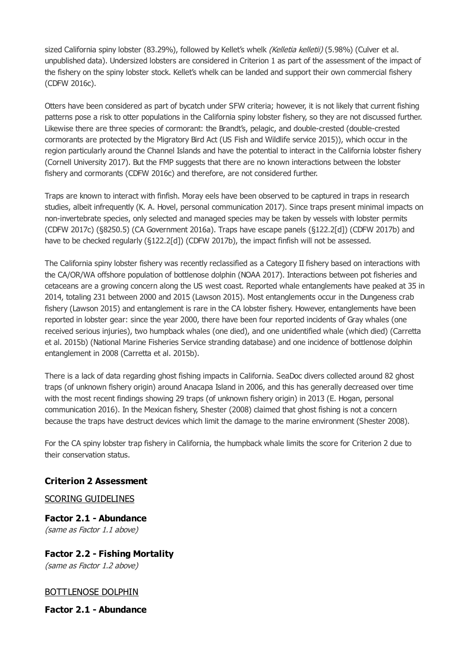sized California spiny lobster (83.29%), followed by Kellet's whelk (Kelletia kelletii) (5.98%) (Culver et al. unpublished data). Undersized lobsters are considered in Criterion 1 as part of the assessment of the impact of the fishery on the spiny lobster stock. Kellet's whelk can be landed and support their own commercial fishery (CDFW 2016c).

Otters have been considered as part of bycatch under SFW criteria; however, it is not likely that current fishing patterns pose a risk to otter populations in the California spiny lobster fishery, so they are not discussed further. Likewise there are three species of cormorant: the Brandt's, pelagic, and double-crested (double-crested cormorants are protected by the Migratory Bird Act (US Fish and Wildlife service 2015)), which occur in the region particularly around the Channel Islands and have the potential to interact in the California lobster fishery (Cornell University 2017). But the FMP suggests that there are no known interactions between the lobster fishery and cormorants (CDFW 2016c) and therefore, are not considered further.

Traps are known to interact with finfish. Moray eels have been observed to be captured in traps in research studies, albeit infrequently (K. A. Hovel, personal communication 2017). Since traps present minimal impacts on non-invertebrate species, only selected and managed species may be taken by vessels with lobster permits (CDFW 2017c) (§8250.5) (CA Government 2016a). Traps have escape panels (§122.2[d]) (CDFW 2017b) and have to be checked regularly (§122.2[d]) (CDFW 2017b), the impact finfish will not be assessed.

The California spiny lobster fishery was recently reclassified as a Category II fishery based on interactions with the CA/OR/WA offshore population of bottlenose dolphin (NOAA 2017). Interactions between pot fisheries and cetaceans are a growing concern along the US west coast. Reported whale entanglements have peaked at 35 in 2014, totaling 231 between 2000 and 2015 (Lawson 2015). Most entanglements occur in the Dungeness crab fishery (Lawson 2015) and entanglement is rare in the CA lobster fishery. However, entanglements have been reported in lobster gear: since the year 2000, there have been four reported incidents of Gray whales (one received serious injuries), two humpback whales (one died), and one unidentified whale (which died) (Carretta et al. 2015b) (National Marine Fisheries Service stranding database) and one incidence of bottlenose dolphin entanglement in 2008 (Carretta et al. 2015b).

There is a lack of data regarding ghost fishing impacts in California. SeaDoc divers collected around 82 ghost traps (of unknown fishery origin) around Anacapa Island in 2006, and this has generally decreased over time with the most recent findings showing 29 traps (of unknown fishery origin) in 2013 (E. Hogan, personal communication 2016). In the Mexican fishery, Shester (2008) claimed that ghost fishing is not a concern because the traps have destruct devices which limit the damage to the marine environment (Shester 2008).

For the CA spiny lobster trap fishery in California, the humpback whale limits the score for Criterion 2 due to their conservation status.

# **Criterion 2 Assessment**

## SCORING GUIDELINES

**Factor 2.1 - Abundance** (same as Factor 1.1 above)

**Factor 2.2 - Fishing Mortality** (same as Factor 1.2 above)

## BOTTLENOSE DOLPHIN

**Factor 2.1 - Abundance**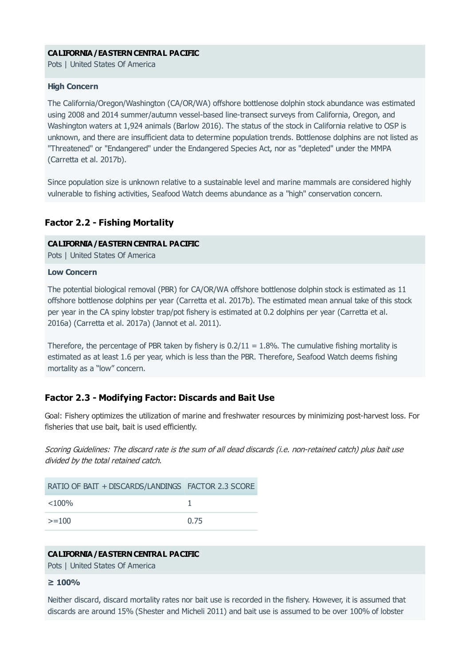#### **CALIFORNIA/EASTERNCENTRAL PACIFIC**

Pots | United States Of America

#### **High Concern**

The California/Oregon/Washington (CA/OR/WA) offshore bottlenose dolphin stock abundance was estimated using 2008 and 2014 summer/autumn vessel-based line-transect surveys from California, Oregon, and Washington waters at 1,924 animals (Barlow 2016). The status of the stock in California relative to OSP is unknown, and there are insufficient data to determine population trends. Bottlenose dolphins are not listed as "Threatened" or "Endangered" under the Endangered Species Act, nor as "depleted" under the MMPA (Carretta et al. 2017b).

Since population size is unknown relative to a sustainable level and marine mammals are considered highly vulnerable to fishing activities, Seafood Watch deems abundance as a "high" conservation concern.

#### **Factor 2.2 - Fishing Mortality**

#### **CALIFORNIA/EASTERNCENTRAL PACIFIC**

Pots | United States Of America

#### **Low Concern**

The potential biological removal (PBR) for CA/OR/WA offshore bottlenose dolphin stock is estimated as 11 offshore bottlenose dolphins per year (Carretta et al. 2017b). The estimated mean annual take of this stock per year in the CA spiny lobster trap/pot fishery is estimated at 0.2 dolphins per year (Carretta et al. 2016a) (Carretta et al. 2017a) (Jannot et al. 2011).

Therefore, the percentage of PBR taken by fishery is  $0.2/11 = 1.8\%$ . The cumulative fishing mortality is estimated as at least 1.6 per year, which is less than the PBR. Therefore, Seafood Watch deems fishing mortality as a "low" concern.

## **Factor 2.3 - Modifying Factor: Discards and Bait Use**

Goal: Fishery optimizes the utilization of marine and freshwater resources by minimizing post-harvest loss. For fisheries that use bait, bait is used efficiently.

Scoring Guidelines: The discard rate is the sum of all dead discards (i.e. non-retained catch) plus bait use divided by the total retained catch.

| RATIO OF BAIT + DISCARDS/LANDINGS FACTOR 2.3 SCORE |      |
|----------------------------------------------------|------|
| $<$ 100%                                           |      |
| $>=100$                                            | 0.75 |

#### **CALIFORNIA/EASTERNCENTRAL PACIFIC**

Pots | United States Of America

#### **≥ 100%**

Neither discard, discard mortality rates nor bait use is recorded in the fishery. However, it is assumed that discards are around 15% (Shester and Micheli 2011) and bait use is assumed to be over 100% of lobster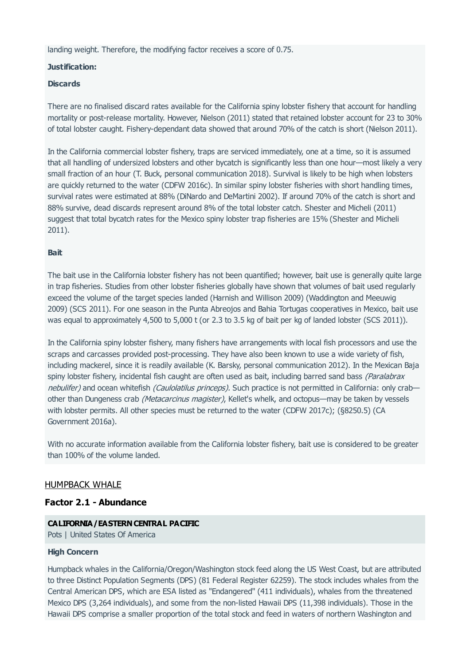landing weight. Therefore, the modifying factor receives a score of 0.75.

#### **Justification:**

#### **Discards**

There are no finalised discard rates available for the California spiny lobster fishery that account for handling mortality or post-release mortality. However, Nielson (2011) stated that retained lobster account for 23 to 30% of total lobster caught. Fishery-dependant data showed that around 70% of the catch is short (Nielson 2011).

In the California commercial lobster fishery, traps are serviced immediately, one at a time, so it is assumed that all handling of undersized lobsters and other bycatch is significantly less than one hour—most likely a very small fraction of an hour (T. Buck, personal communication 2018). Survival is likely to be high when lobsters are quickly returned to the water (CDFW 2016c). In similar spiny lobster fisheries with short handling times, survival rates were estimated at 88% (DiNardo and DeMartini 2002). If around 70% of the catch is short and 88% survive, dead discards represent around 8% of the total lobster catch. Shester and Micheli (2011) suggest that total bycatch rates for the Mexico spiny lobster trap fisheries are 15% (Shester and Micheli 2011).

#### **Bait**

The bait use in the California lobster fishery has not been quantified; however, bait use is generally quite large in trap fisheries. Studies from other lobster fisheries globally have shown that volumes of bait used regularly exceed the volume of the target species landed (Harnish and Willison 2009) (Waddington and Meeuwig 2009) (SCS 2011). For one season in the Punta Abreojos and Bahia Tortugas cooperatives in Mexico, bait use was equal to approximately 4,500 to 5,000 t (or 2.3 to 3.5 kg of bait per kg of landed lobster (SCS 2011)).

In the California spiny lobster fishery, many fishers have arrangements with local fish processors and use the scraps and carcasses provided post-processing. They have also been known to use a wide variety of fish, including mackerel, since it is readily available (K. Barsky, personal communication 2012). In the Mexican Baja spiny lobster fishery, incidental fish caught are often used as bait, including barred sand bass (Paralabrax nebulifer) and ocean whitefish (Caulolatilus princeps). Such practice is not permitted in California: only crabother than Dungeness crab (Metacarcinus magister), Kellet's whelk, and octopus—may be taken by vessels with lobster permits. All other species must be returned to the water (CDFW 2017c); (§8250.5) (CA Government 2016a).

With no accurate information available from the California lobster fishery, bait use is considered to be greater than 100% of the volume landed.

#### HUMPBACK WHALE

#### **Factor 2.1 - Abundance**

#### **CALIFORNIA/EASTERNCENTRAL PACIFIC**

Pots | United States Of America

#### **High Concern**

Humpback whales in the California/Oregon/Washington stock feed along the US West Coast, but are attributed to three Distinct Population Segments (DPS) (81 Federal Register 62259). The stock includes whales from the Central American DPS, which are ESA listed as "Endangered" (411 individuals), whales from the threatened Mexico DPS (3,264 individuals), and some from the non-listed Hawaii DPS (11,398 individuals). Those in the Hawaii DPS comprise a smaller proportion of the total stock and feed in waters of northern Washington and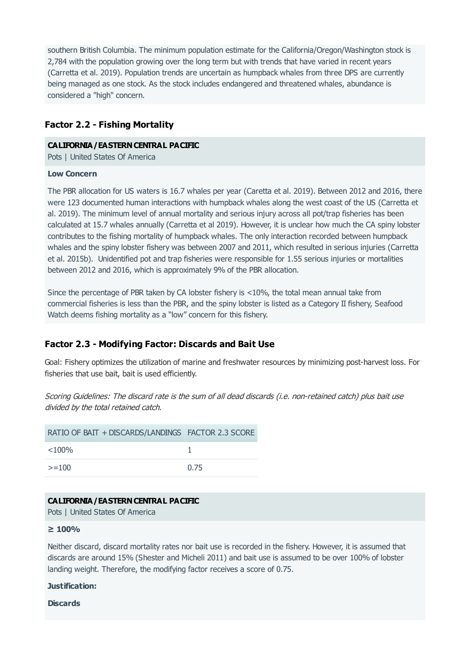southern British Columbia. The minimum population estimate for the California/Oregon/Washington stock is 2,784 with the population growing over the long term but with trends that have varied in recent years (Carretta et al. 2019). Population trends are uncertain as humpback whales from three DPS are currently being managed as one stock. As the stock includes endangered and threatened whales, abundance is considered a "high" concern.

# **Factor 2.2 - Fishing Mortality**

#### **CALIFORNIA/EASTERNCENTRAL PACIFIC**

Pots | United States Of America

#### **Low Concern**

The PBR allocation for US waters is 16.7 whales per year (Caretta et al. 2019). Between 2012 and 2016, there were 123 documented human interactions with humpback whales along the west coast of the US (Carretta et al. 2019). The minimum level of annual mortality and serious injury across all pot/trap fisheries has been calculated at 15.7 whales annually (Carretta et al 2019). However, it is unclear how much the CA spiny lobster contributes to the fishing mortality of humpback whales. The only interaction recorded between humpback whales and the spiny lobster fishery was between 2007 and 2011, which resulted in serious injuries (Carretta et al. 2015b). Unidentified pot and trap fisheries were responsible for 1.55 serious injuries or mortalities between 2012 and 2016, which is approximately 9% of the PBR allocation.

Since the percentage of PBR taken by CA lobster fishery is <10%, the total mean annual take from commercial fisheries is less than the PBR, and the spiny lobster is listed as a Category II fishery, Seafood Watch deems fishing mortality as a "low" concern for this fishery.

# **Factor 2.3 - Modifying Factor: Discards and Bait Use**

Goal: Fishery optimizes the utilization of marine and freshwater resources by minimizing post-harvest loss. For fisheries that use bait, bait is used efficiently.

Scoring Guidelines: The discard rate is the sum of all dead discards (i.e. non-retained catch) plus bait use divided by the total retained catch.

| RATIO OF BAIT + DISCARDS/LANDINGS FACTOR 2.3 SCORE |      |
|----------------------------------------------------|------|
| $<$ 100%                                           |      |
| $>=100$                                            | 0.75 |

## **CALIFORNIA/EASTERNCENTRAL PACIFIC**

Pots | United States Of America

#### **≥ 100%**

Neither discard, discard mortality rates nor bait use is recorded in the fishery. However, it is assumed that discards are around 15% (Shester and Micheli 2011) and bait use is assumed to be over 100% of lobster landing weight. Therefore, the modifying factor receives a score of 0.75.

#### **Justification:**

**Discards**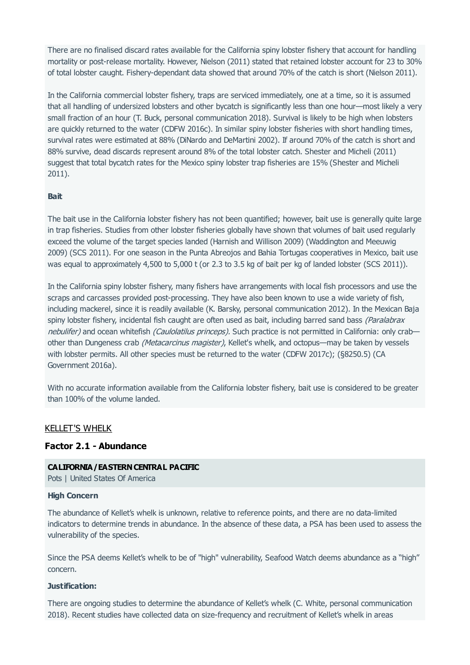There are no finalised discard rates available for the California spiny lobster fishery that account for handling mortality or post-release mortality. However, Nielson (2011) stated that retained lobster account for 23 to 30% of total lobster caught. Fishery-dependant data showed that around 70% of the catch is short (Nielson 2011).

In the California commercial lobster fishery, traps are serviced immediately, one at a time, so it is assumed that all handling of undersized lobsters and other bycatch is significantly less than one hour—most likely a very small fraction of an hour (T. Buck, personal communication 2018). Survival is likely to be high when lobsters are quickly returned to the water (CDFW 2016c). In similar spiny lobster fisheries with short handling times, survival rates were estimated at 88% (DiNardo and DeMartini 2002). If around 70% of the catch is short and 88% survive, dead discards represent around 8% of the total lobster catch. Shester and Micheli (2011) suggest that total bycatch rates for the Mexico spiny lobster trap fisheries are 15% (Shester and Micheli 2011).

#### **Bait**

The bait use in the California lobster fishery has not been quantified; however, bait use is generally quite large in trap fisheries. Studies from other lobster fisheries globally have shown that volumes of bait used regularly exceed the volume of the target species landed (Harnish and Willison 2009) (Waddington and Meeuwig 2009) (SCS 2011). For one season in the Punta Abreojos and Bahia Tortugas cooperatives in Mexico, bait use was equal to approximately 4,500 to 5,000 t (or 2.3 to 3.5 kg of bait per kg of landed lobster (SCS 2011)).

In the California spiny lobster fishery, many fishers have arrangements with local fish processors and use the scraps and carcasses provided post-processing. They have also been known to use a wide variety of fish, including mackerel, since it is readily available (K. Barsky, personal communication 2012). In the Mexican Baja spiny lobster fishery, incidental fish caught are often used as bait, including barred sand bass (Paralabrax nebulifer) and ocean whitefish (Caulolatilus princeps). Such practice is not permitted in California: only crab other than Dungeness crab *(Metacarcinus magister)*, Kellet's whelk, and octopus—may be taken by vessels with lobster permits. All other species must be returned to the water (CDFW 2017c); (§8250.5) (CA Government 2016a).

With no accurate information available from the California lobster fishery, bait use is considered to be greater than 100% of the volume landed.

# KELLET'S WHELK

#### **Factor 2.1 - Abundance**

#### **CALIFORNIA/EASTERNCENTRAL PACIFIC**

Pots | United States Of America

#### **High Concern**

The abundance of Kellet's whelk is unknown, relative to reference points, and there are no data-limited indicators to determine trends in abundance. In the absence of these data, a PSA has been used to assess the vulnerability of the species.

Since the PSA deems Kellet's whelk to be of "high" vulnerability, Seafood Watch deems abundance as a "high" concern.

#### **Justification:**

There are ongoing studies to determine the abundance of Kellet's whelk (C. White, personal communication 2018). Recent studies have collected data on size-frequency and recruitment of Kellet's whelk in areas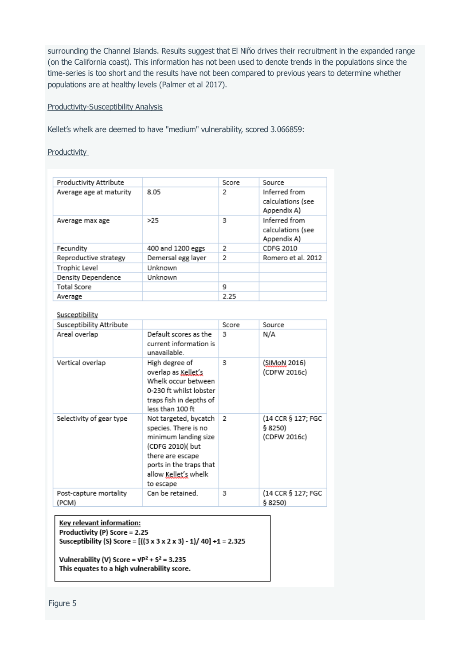surrounding the Channel Islands. Results suggest that El Niño drives their recruitment in the expanded range (on the California coast). This information has not been used to denote trends in the populations since the time-series is too short and the results have not been compared to previous years to determine whether populations are at healthy levels (Palmer et al 2017).

#### Productivity-Susceptibility Analysis

Kellet's whelk are deemed to have "medium" vulnerability, scored 3.066859:

**Productivity** 

| Productivity Attribute  |                    | Score | Source                                            |
|-------------------------|--------------------|-------|---------------------------------------------------|
| Average age at maturity | 8.05               | 2     | Inferred from<br>calculations (see<br>Appendix A) |
| Average max age         | >25                | 3     | Inferred from<br>calculations (see<br>Appendix A) |
| Fecundity               | 400 and 1200 eggs  | 2     | CDFG 2010                                         |
| Reproductive strategy   | Demersal egg layer | 2     | Romero et al. 2012                                |
| Trophic Level           | Unknown            |       |                                                   |
| Density Dependence      | Unknown            |       |                                                   |
| Total Score             |                    | 9     |                                                   |
| Average                 |                    | 2.25  |                                                   |

#### Susceptibility

| Susceptibility Attribute        |                                                                                                                                                                               | Score | Source                                        |
|---------------------------------|-------------------------------------------------------------------------------------------------------------------------------------------------------------------------------|-------|-----------------------------------------------|
| Areal overlap                   | Default scores as the<br>current information is<br>unavailable.                                                                                                               | 3     | N/A                                           |
| Vertical overlap                | High degree of<br>overlap as Kellet's<br>Whelk occur between<br>0-230 ft whilst lobster<br>traps fish in depths of<br>less than 100 ft                                        | з     | (SIMoN 2016)<br>(CDFW 2016c)                  |
| Selectivity of gear type        | Not targeted, bycatch<br>species. There is no<br>minimum landing size<br>(CDFG 2010)( but<br>there are escape<br>ports in the traps that<br>allow Kellet's whelk<br>to escape | 2     | (14 CCR § 127; FGC<br>\$8250)<br>(CDFW 2016c) |
| Post-capture mortality<br>(PCM) | Can be retained.                                                                                                                                                              | 3     | (14 CCR § 127; FGC<br>\$8250)                 |

Key relevant information: Productivity (P) Score = 2.25 Susceptibility (S) Score = [((3 x 3 x 2 x 3) - 1)/ 40] +1 = 2.325

Vulnerability (V) Score =  $VP^2 + S^2 = 3.235$ This equates to a high vulnerability score.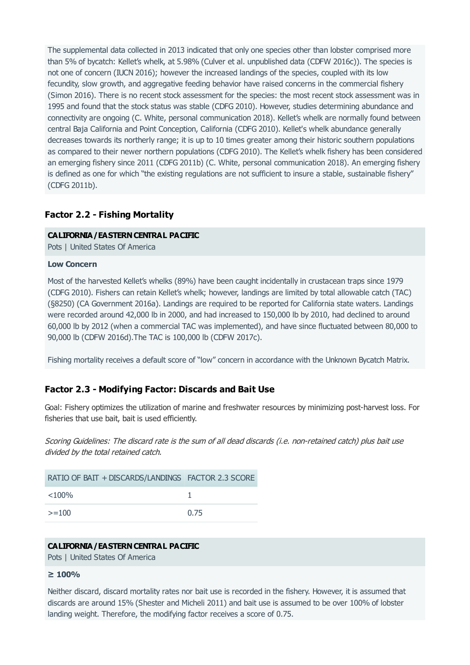The supplemental data collected in 2013 indicated that only one species other than lobster comprised more than 5% of bycatch: Kellet's whelk, at 5.98% (Culver et al. unpublished data (CDFW 2016c)). The species is not one of concern (IUCN 2016); however the increased landings of the species, coupled with its low fecundity, slow growth, and aggregative feeding behavior have raised concerns in the commercial fishery (Simon 2016). There is no recent stock assessment for the species: the most recent stock assessment was in 1995 and found that the stock status was stable (CDFG 2010). However, studies determining abundance and connectivity are ongoing (C. White, personal communication 2018). Kellet's whelk are normally found between central Baja California and Point Conception, California (CDFG 2010). Kellet's whelk abundance generally decreases towards its northerly range; it is up to 10 times greater among their historic southern populations as compared to their newer northern populations (CDFG 2010). The Kellet's whelk fishery has been considered an emerging fishery since 2011 (CDFG 2011b) (C. White, personal communication 2018). An emerging fishery is defined as one for which "the existing regulations are not sufficient to insure a stable, sustainable fishery" (CDFG 2011b).

# **Factor 2.2 - Fishing Mortality**

#### **CALIFORNIA/EASTERNCENTRAL PACIFIC**

Pots | United States Of America

#### **Low Concern**

Most of the harvested Kellet's whelks (89%) have been caught incidentally in crustacean traps since 1979 (CDFG 2010). Fishers can retain Kellet's whelk; however, landings are limited by total allowable catch (TAC) (§8250) (CA Government 2016a). Landings are required to be reported for California state waters. Landings were recorded around 42,000 lb in 2000, and had increased to 150,000 lb by 2010, had declined to around 60,000 lb by 2012 (when a commercial TAC was implemented), and have since fluctuated between 80,000 to 90,000 lb (CDFW 2016d).The TAC is 100,000 lb (CDFW 2017c).

Fishing mortality receives a default score of "low" concern in accordance with the Unknown Bycatch Matrix.

## **Factor 2.3 - Modifying Factor: Discards and Bait Use**

Goal: Fishery optimizes the utilization of marine and freshwater resources by minimizing post-harvest loss. For fisheries that use bait, bait is used efficiently.

Scoring Guidelines: The discard rate is the sum of all dead discards (i.e. non-retained catch) plus bait use divided by the total retained catch.

| RATIO OF BAIT + DISCARDS/LANDINGS FACTOR 2.3 SCORE |      |
|----------------------------------------------------|------|
| $< 100\%$                                          |      |
| $>=100$                                            | 0.75 |

#### **CALIFORNIA/EASTERNCENTRAL PACIFIC**

Pots | United States Of America

#### **≥ 100%**

Neither discard, discard mortality rates nor bait use is recorded in the fishery. However, it is assumed that discards are around 15% (Shester and Micheli 2011) and bait use is assumed to be over 100% of lobster landing weight. Therefore, the modifying factor receives a score of 0.75.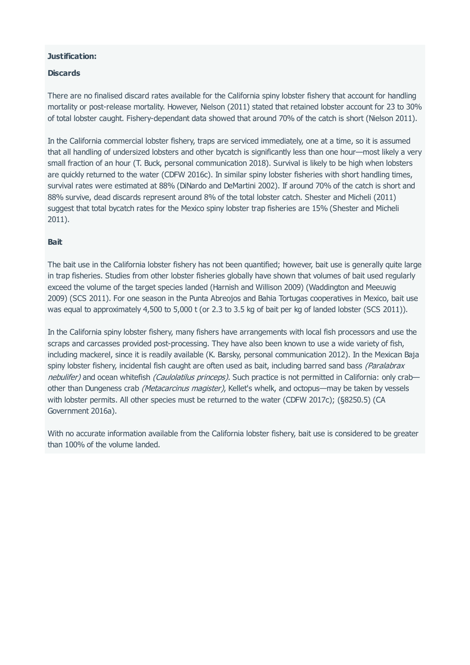#### **Justification:**

#### **Discards**

There are no finalised discard rates available for the California spiny lobster fishery that account for handling mortality or post-release mortality. However, Nielson (2011) stated that retained lobster account for 23 to 30% of total lobster caught. Fishery-dependant data showed that around 70% of the catch is short (Nielson 2011).

In the California commercial lobster fishery, traps are serviced immediately, one at a time, so it is assumed that all handling of undersized lobsters and other bycatch is significantly less than one hour—most likely a very small fraction of an hour (T. Buck, personal communication 2018). Survival is likely to be high when lobsters are quickly returned to the water (CDFW 2016c). In similar spiny lobster fisheries with short handling times, survival rates were estimated at 88% (DiNardo and DeMartini 2002). If around 70% of the catch is short and 88% survive, dead discards represent around 8% of the total lobster catch. Shester and Micheli (2011) suggest that total bycatch rates for the Mexico spiny lobster trap fisheries are 15% (Shester and Micheli 2011).

#### **Bait**

The bait use in the California lobster fishery has not been quantified; however, bait use is generally quite large in trap fisheries. Studies from other lobster fisheries globally have shown that volumes of bait used regularly exceed the volume of the target species landed (Harnish and Willison 2009) (Waddington and Meeuwig 2009) (SCS 2011). For one season in the Punta Abreojos and Bahia Tortugas cooperatives in Mexico, bait use was equal to approximately 4,500 to 5,000 t (or 2.3 to 3.5 kg of bait per kg of landed lobster (SCS 2011)).

In the California spiny lobster fishery, many fishers have arrangements with local fish processors and use the scraps and carcasses provided post-processing. They have also been known to use a wide variety of fish, including mackerel, since it is readily available (K. Barsky, personal communication 2012). In the Mexican Baja spiny lobster fishery, incidental fish caught are often used as bait, including barred sand bass (Paralabrax nebulifer) and ocean whitefish (Caulolatilus princeps). Such practice is not permitted in California: only crabother than Dungeness crab (Metacarcinus magister), Kellet's whelk, and octopus—may be taken by vessels with lobster permits. All other species must be returned to the water (CDFW 2017c); (§8250.5) (CA Government 2016a).

With no accurate information available from the California lobster fishery, bait use is considered to be greater than 100% of the volume landed.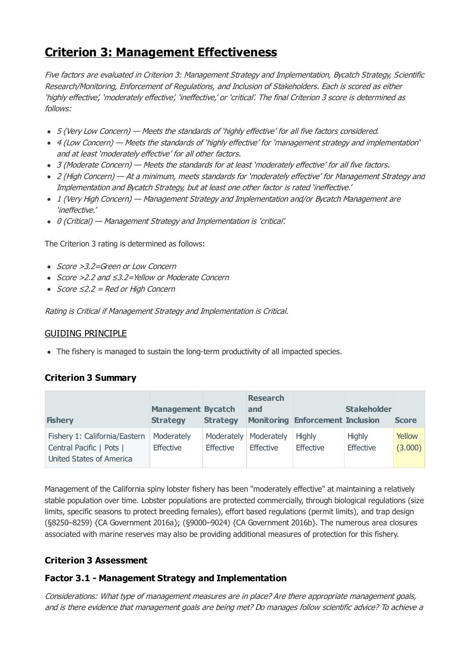# <span id="page-26-0"></span>**Criterion 3: Management Effectiveness**

Five factors are evaluated in Criterion 3: Management Strategy and Implementation, Bycatch Strategy, Scientific Research/Monitoring, Enforcement of Regulations, and Inclusion of Stakeholders. Each is scored as either 'highly effective', 'moderately effective', 'ineffective,' or 'critical'. The final Criterion 3 score is determined as follows:

- 5 (Very Low Concern) Meets the standards of 'highly effective' for all five factors considered.
- 4 (Low Concern) Meets the standards of 'highly effective' for 'management strategy and implementation' and at least 'moderately effective' for all other factors.
- 3 (Moderate Concern) Meets the standards for at least 'moderately effective' for all five factors.
- 2 (High Concern) At a minimum, meets standards for 'moderately effective' for Management Strategy and Implementation and Bycatch Strategy, but at least one other factor is rated 'ineffective.'
- 1 (Very High Concern) Management Strategy and Implementation and/or Bycatch Management are 'ineffective.'
- 0 (Critical) Management Strategy and Implementation is 'critical'.

The Criterion 3 rating is determined as follows:

- Score >3.2=Green or Low Concern
- Score >2.2 and ≤3.2=Yellow or Moderate Concern
- $Score ≤2.2 = Red or High Concern$

Rating is Critical if Management Strategy and Implementation is Critical.

## GUIDING PRINCIPLE

• The fishery is managed to sustain the long-term productivity of all impacted species.

# **Criterion 3 Summary**

| <b>Fishery</b>                                                                        | <b>Management Bycatch</b><br><b>Strategy</b> | <b>Strategy</b> | <b>Research</b><br>and               | <b>Monitoring Enforcement Inclusion</b> | <b>Stakeholder</b>         | <b>Score</b>      |
|---------------------------------------------------------------------------------------|----------------------------------------------|-----------------|--------------------------------------|-----------------------------------------|----------------------------|-------------------|
| Fishery 1: California/Eastern<br>Central Pacific   Pots  <br>United States of America | Moderately<br><b>Effective</b>               | Effective       | Moderately   Moderately<br>Effective | <b>Highly</b><br><b>Effective</b>       | <b>Highly</b><br>Effective | Yellow<br>(3.000) |

Management of the California spiny lobster fishery has been "moderately effective" at maintaining a relatively stable population over time. Lobster populations are protected commercially, through biological regulations (size limits, specific seasons to protect breeding females), effort based regulations (permit limits), and trap design (§8250–8259) {CA Government 2016a}; (§9000–9024) {CA Government 2016b}. The numerous area closures associated with marine reserves may also be providing additional measures of protection for this fishery.

# **Criterion 3 Assessment**

# **Factor 3.1 - Management Strategy and Implementation**

Considerations: What type of management measures are in place? Are there appropriate management goals, and is there evidence that management goals are being met? Do manages follow scientific advice? To achieve <sup>a</sup>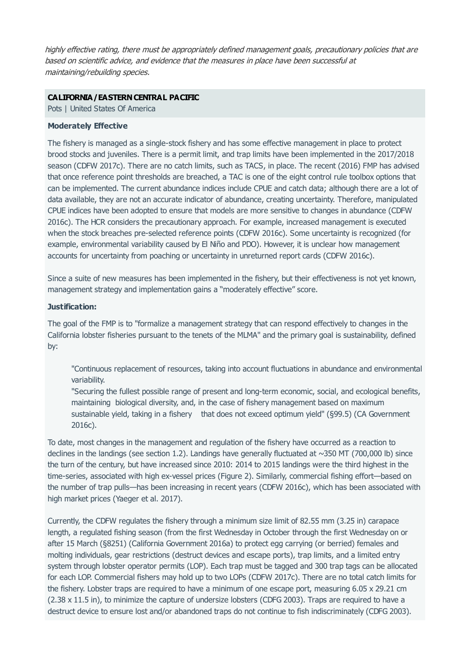highly effective rating, there must be appropriately defined management goals, precautionary policies that are based on scientific advice, and evidence that the measures in place have been successful at maintaining/rebuilding species.

#### **CALIFORNIA/EASTERNCENTRAL PACIFIC**

Pots | United States Of America

#### **Moderately Effective**

The fishery is managed as a single-stock fishery and has some effective management in place to protect brood stocks and juveniles. There is a permit limit, and trap limits have been implemented in the 2017/2018 season (CDFW 2017c). There are no catch limits, such as TACS, in place. The recent (2016) FMP has advised that once reference point thresholds are breached, a TAC is one of the eight control rule toolbox options that can be implemented. The current abundance indices include CPUE and catch data; although there are a lot of data available, they are not an accurate indicator of abundance, creating uncertainty. Therefore, manipulated CPUE indices have been adopted to ensure that models are more sensitive to changes in abundance (CDFW 2016c). The HCR considers the precautionary approach. For example, increased management is executed when the stock breaches pre-selected reference points (CDFW 2016c). Some uncertainty is recognized (for example, environmental variability caused by El Niño and PDO). However, it is unclear how management accounts for uncertainty from poaching or uncertainty in unreturned report cards (CDFW 2016c).

Since a suite of new measures has been implemented in the fishery, but their effectiveness is not yet known, management strategy and implementation gains a "moderately effective" score.

#### **Justification:**

The goal of the FMP is to "formalize a management strategy that can respond effectively to changes in the California lobster fisheries pursuant to the tenets of the MLMA" and the primary goal is sustainability, defined by:

"Continuous replacement of resources, taking into account fluctuations in abundance and environmental variability.

"Securing the fullest possible range of present and long-term economic, social, and ecological benefits, maintaining biological diversity, and, in the case of fishery management based on maximum sustainable yield, taking in a fishery that does not exceed optimum yield" (§99.5) (CA Government 2016c).

To date, most changes in the management and regulation of the fishery have occurred as a reaction to declines in the landings (see section 1.2). Landings have generally fluctuated at  $\sim$ 350 MT (700,000 lb) since the turn of the century, but have increased since 2010: 2014 to 2015 landings were the third highest in the time-series, associated with high ex-vessel prices (Figure 2). Similarly, commercial fishing effort—based on the number of trap pulls—has been increasing in recent years (CDFW 2016c), which has been associated with high market prices (Yaeger et al. 2017).

Currently, the CDFW regulates the fishery through a minimum size limit of 82.55 mm (3.25 in) carapace length, a regulated fishing season (from the first Wednesday in October through the first Wednesday on or after 15 March (§8251) (California Government 2016a) to protect egg carrying (or berried) females and molting individuals, gear restrictions (destruct devices and escape ports), trap limits, and a limited entry system through lobster operator permits (LOP). Each trap must be tagged and 300 trap tags can be allocated for each LOP. Commercial fishers may hold up to two LOPs (CDFW 2017c). There are no total catch limits for the fishery. Lobster traps are required to have a minimum of one escape port, measuring 6.05 x 29.21 cm (2.38 x 11.5 in), to minimize the capture of undersize lobsters (CDFG 2003). Traps are required to have a destruct device to ensure lost and/or abandoned traps do not continue to fish indiscriminately (CDFG 2003).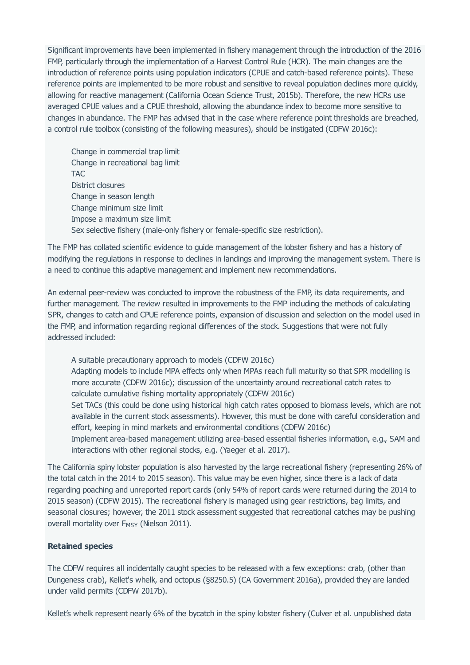Significant improvements have been implemented in fishery management through the introduction of the 2016 FMP, particularly through the implementation of a Harvest Control Rule (HCR). The main changes are the introduction of reference points using population indicators (CPUE and catch-based reference points). These reference points are implemented to be more robust and sensitive to reveal population declines more quickly, allowing for reactive management (California Ocean Science Trust, 2015b). Therefore, the new HCRs use averaged CPUE values and a CPUE threshold, allowing the abundance index to become more sensitive to changes in abundance. The FMP has advised that in the case where reference point thresholds are breached, a control rule toolbox (consisting of the following measures), should be instigated (CDFW 2016c):

Change in commercial trap limit Change in recreational bag limit TAC District closures Change in season length Change minimum size limit Impose a maximum size limit Sex selective fishery (male-only fishery or female-specific size restriction).

The FMP has collated scientific evidence to guide management of the lobster fishery and has a history of modifying the regulations in response to declines in landings and improving the management system. There is a need to continue this adaptive management and implement new recommendations.

An external peer-review was conducted to improve the robustness of the FMP, its data requirements, and further management. The review resulted in improvements to the FMP including the methods of calculating SPR, changes to catch and CPUE reference points, expansion of discussion and selection on the model used in the FMP, and information regarding regional differences of the stock. Suggestions that were not fully addressed included:

A suitable precautionary approach to models (CDFW 2016c) Adapting models to include MPA effects only when MPAs reach full maturity so that SPR modelling is more accurate (CDFW 2016c); discussion of the uncertainty around recreational catch rates to calculate cumulative fishing mortality appropriately (CDFW 2016c) Set TACs (this could be done using historical high catch rates opposed to biomass levels, which are not available in the current stock assessments). However, this must be done with careful consideration and effort, keeping in mind markets and environmental conditions (CDFW 2016c) Implement area-based management utilizing area-based essential fisheries information, e.g., SAM and interactions with other regional stocks, e.g. (Yaeger et al. 2017).

The California spiny lobster population is also harvested by the large recreational fishery (representing 26% of the total catch in the 2014 to 2015 season). This value may be even higher, since there is a lack of data regarding poaching and unreported report cards (only 54% of report cards were returned during the 2014 to 2015 season) (CDFW 2015). The recreational fishery is managed using gear restrictions, bag limits, and seasonal closures; however, the 2011 stock assessment suggested that recreational catches may be pushing overall mortality over F<sub>MSY</sub> (Nielson 2011).

#### **Retained species**

The CDFW requires all incidentally caught species to be released with a few exceptions: crab, (other than Dungeness crab), Kellet's whelk, and octopus (§8250.5) (CA Government 2016a), provided they are landed under valid permits (CDFW 2017b).

Kellet's whelk represent nearly 6% of the bycatch in the spiny lobster fishery (Culver et al. unpublished data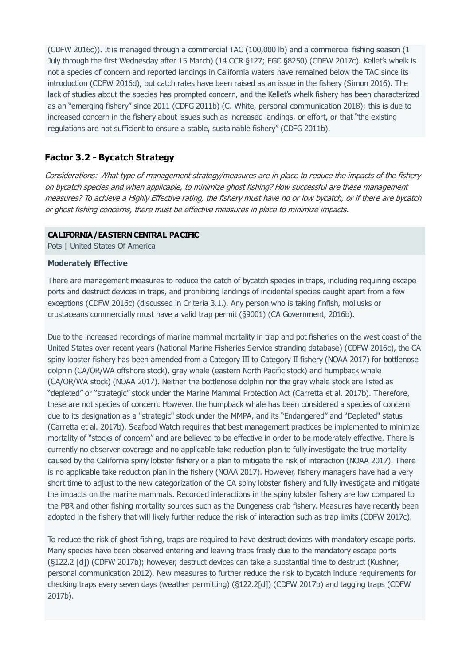(CDFW 2016c)). It is managed through a commercial TAC (100,000 lb) and a commercial fishing season (1 July through the first Wednesday after 15 March) (14 CCR §127; FGC §8250) (CDFW 2017c). Kellet's whelk is not a species of concern and reported landings in California waters have remained below the TAC since its introduction (CDFW 2016d), but catch rates have been raised as an issue in the fishery (Simon 2016). The lack of studies about the species has prompted concern, and the Kellet's whelk fishery has been characterized as an "emerging fishery" since 2011 (CDFG 2011b) (C. White, personal communication 2018); this is due to increased concern in the fishery about issues such as increased landings, or effort, or that "the existing regulations are not sufficient to ensure a stable, sustainable fishery" (CDFG 2011b).

# **Factor 3.2 - Bycatch Strategy**

Considerations: What type of management strategy/measures are in place to reduce the impacts of the fishery on bycatch species and when applicable, to minimize ghost fishing? How successful are these management measures? To achieve <sup>a</sup> Highly Effective rating, the fishery must have no or low bycatch, or if there are bycatch or ghost fishing concerns, there must be effective measures in place to minimize impacts.

#### **CALIFORNIA/EASTERNCENTRAL PACIFIC**

Pots | United States Of America

#### **Moderately Effective**

There are management measures to reduce the catch of bycatch species in traps, including requiring escape ports and destruct devices in traps, and prohibiting landings of incidental species caught apart from a few exceptions (CDFW 2016c) (discussed in Criteria 3.1.). Any person who is taking finfish, mollusks or crustaceans commercially must have a valid trap permit (§9001) (CA Government, 2016b).

Due to the increased recordings of marine mammal mortality in trap and pot fisheries on the west coast of the United States over recent years (National Marine Fisheries Service stranding database) (CDFW 2016c), the CA spiny lobster fishery has been amended from a Category III to Category II fishery (NOAA 2017) for bottlenose dolphin (CA/OR/WA offshore stock), gray whale (eastern North Pacific stock) and humpback whale (CA/OR/WA stock) (NOAA 2017). Neither the bottlenose dolphin nor the gray whale stock are listed as "depleted" or "strategic" stock under the Marine Mammal Protection Act (Carretta et al. 2017b). Therefore, these are not species of concern. However, the humpback whale has been considered a species of concern due to its designation as a "strategic" stock under the MMPA, and its "Endangered" and "Depleted" status (Carretta et al. 2017b). Seafood Watch requires that best management practices be implemented to minimize mortality of "stocks of concern" and are believed to be effective in order to be moderately effective. There is currently no observer coverage and no applicable take reduction plan to fully investigate the true mortality caused by the California spiny lobster fishery or a plan to mitigate the risk of interaction (NOAA 2017). There is no applicable take reduction plan in the fishery (NOAA 2017). However, fishery managers have had a very short time to adjust to the new categorization of the CA spiny lobster fishery and fully investigate and mitigate the impacts on the marine mammals. Recorded interactions in the spiny lobster fishery are low compared to the PBR and other fishing mortality sources such as the Dungeness crab fishery. Measures have recently been adopted in the fishery that will likely further reduce the risk of interaction such as trap limits (CDFW 2017c).

To reduce the risk of ghost fishing, traps are required to have destruct devices with mandatory escape ports. Many species have been observed entering and leaving traps freely due to the mandatory escape ports (§122.2 [d]) (CDFW 2017b); however, destruct devices can take a substantial time to destruct (Kushner, personal communication 2012). New measures to further reduce the risk to bycatch include requirements for checking traps every seven days (weather permitting) (§122.2[d]) (CDFW 2017b) and tagging traps (CDFW 2017b).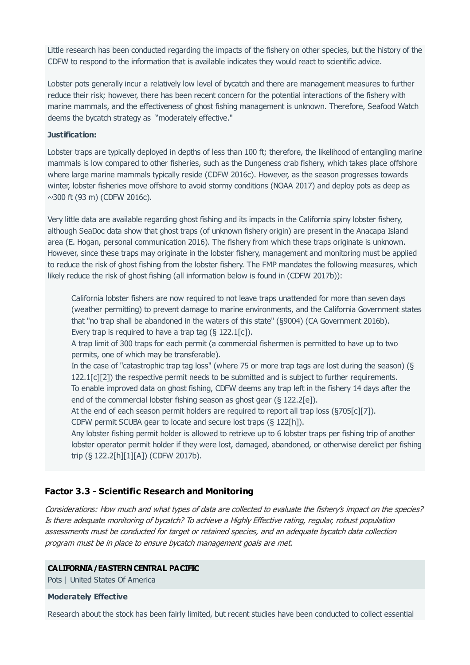Little research has been conducted regarding the impacts of the fishery on other species, but the history of the CDFW to respond to the information that is available indicates they would react to scientific advice.

Lobster pots generally incur a relatively low level of bycatch and there are management measures to further reduce their risk; however, there has been recent concern for the potential interactions of the fishery with marine mammals, and the effectiveness of ghost fishing management is unknown. Therefore, Seafood Watch deems the bycatch strategy as "moderately effective."

#### **Justification:**

Lobster traps are typically deployed in depths of less than 100 ft; therefore, the likelihood of entangling marine mammals is low compared to other fisheries, such as the Dungeness crab fishery, which takes place offshore where large marine mammals typically reside (CDFW 2016c). However, as the season progresses towards winter, lobster fisheries move offshore to avoid stormy conditions (NOAA 2017) and deploy pots as deep as  $\sim$ 300 ft (93 m) (CDFW 2016c).

Very little data are available regarding ghost fishing and its impacts in the California spiny lobster fishery, although SeaDoc data show that ghost traps (of unknown fishery origin) are present in the Anacapa Island area (E. Hogan, personal communication 2016). The fishery from which these traps originate is unknown. However, since these traps may originate in the lobster fishery, management and monitoring must be applied to reduce the risk of ghost fishing from the lobster fishery. The FMP mandates the following measures, which likely reduce the risk of ghost fishing (all information below is found in (CDFW 2017b)):

California lobster fishers are now required to not leave traps unattended for more than seven days (weather permitting) to prevent damage to marine environments, and the California Government states that "no trap shall be abandoned in the waters of this state" (§9004) (CA Government 2016b). Every trap is required to have a trap tag  $(§ 122.1[c])$ .

A trap limit of 300 traps for each permit (a commercial fishermen is permitted to have up to two permits, one of which may be transferable).

In the case of "catastrophic trap tag loss" (where 75 or more trap tags are lost during the season) (§ 122.1[c][2]) the respective permit needs to be submitted and is subject to further requirements. To enable improved data on ghost fishing, CDFW deems any trap left in the fishery 14 days after the end of the commercial lobster fishing season as ghost gear (§ 122.2[e]).

At the end of each season permit holders are required to report all trap loss (§705[c][7]).

CDFW permit SCUBA gear to locate and secure lost traps (§ 122[h]).

Any lobster fishing permit holder is allowed to retrieve up to 6 lobster traps per fishing trip of another lobster operator permit holder if they were lost, damaged, abandoned, or otherwise derelict per fishing trip (§ 122.2[h][1][A]) (CDFW 2017b).

## **Factor 3.3 - Scientific Research and Monitoring**

Considerations: How much and what types of data are collected to evaluate the fishery's impact on the species? Is there adequate monitoring of bycatch? To achieve <sup>a</sup> Highly Effective rating, regular, robust population assessments must be conducted for target or retained species, and an adequate bycatch data collection program must be in place to ensure bycatch management goals are met.

#### **CALIFORNIA/EASTERNCENTRAL PACIFIC**

Pots | United States Of America

#### **Moderately Effective**

Research about the stock has been fairly limited, but recent studies have been conducted to collect essential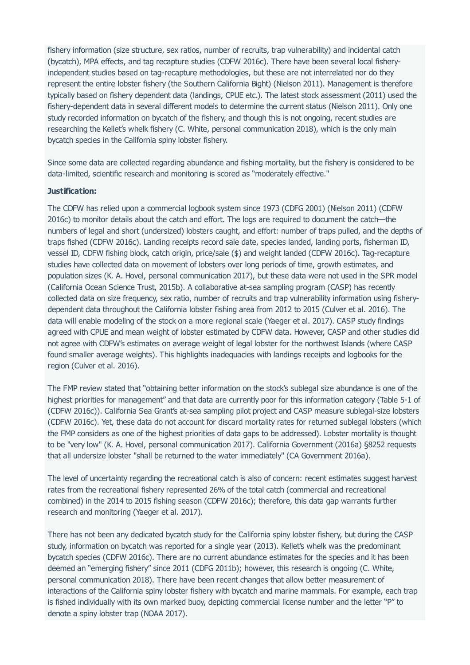fishery information (size structure, sex ratios, number of recruits, trap vulnerability) and incidental catch (bycatch), MPA effects, and tag recapture studies (CDFW 2016c). There have been several local fisheryindependent studies based on tag-recapture methodologies, but these are not interrelated nor do they represent the entire lobster fishery (the Southern California Bight) (Nielson 2011). Management is therefore typically based on fishery dependent data (landings, CPUE etc.). The latest stock assessment (2011) used the fishery-dependent data in several different models to determine the current status (Nielson 2011). Only one study recorded information on bycatch of the fishery, and though this is not ongoing, recent studies are researching the Kellet's whelk fishery (C. White, personal communication 2018), which is the only main bycatch species in the California spiny lobster fishery.

Since some data are collected regarding abundance and fishing mortality, but the fishery is considered to be data-limited, scientific research and monitoring is scored as "moderately effective."

#### **Justification:**

The CDFW has relied upon a commercial logbook system since 1973 (CDFG 2001) (Nielson 2011) (CDFW 2016c) to monitor details about the catch and effort. The logs are required to document the catch—the numbers of legal and short (undersized) lobsters caught, and effort: number of traps pulled, and the depths of traps fished (CDFW 2016c). Landing receipts record sale date, species landed, landing ports, fisherman ID, vessel ID, CDFW fishing block, catch origin, price/sale (\$) and weight landed (CDFW 2016c). Tag-recapture studies have collected data on movement of lobsters over long periods of time, growth estimates, and population sizes (K. A. Hovel, personal communication 2017), but these data were not used in the SPR model (California Ocean Science Trust, 2015b). A collaborative at-sea sampling program (CASP) has recently collected data on size frequency, sex ratio, number of recruits and trap vulnerability information using fisherydependent data throughout the California lobster fishing area from 2012 to 2015 (Culver et al. 2016). The data will enable modeling of the stock on a more regional scale (Yaeger et al. 2017). CASP study findings agreed with CPUE and mean weight of lobster estimated by CDFW data. However, CASP and other studies did not agree with CDFW's estimates on average weight of legal lobster for the northwest Islands (where CASP found smaller average weights). This highlights inadequacies with landings receipts and logbooks for the region (Culver et al. 2016).

The FMP review stated that "obtaining better information on the stock's sublegal size abundance is one of the highest priorities for management" and that data are currently poor for this information category (Table 5-1 of (CDFW 2016c)). California Sea Grant's at-sea sampling pilot project and CASP measure sublegal-size lobsters (CDFW 2016c). Yet, these data do not account for discard mortality rates for returned sublegal lobsters (which the FMP considers as one of the highest priorities of data gaps to be addressed). Lobster mortality is thought to be "very low" (K. A. Hovel, personal communication 2017). California Government (2016a) §8252 requests that all undersize lobster "shall be returned to the water immediately" (CA Government 2016a).

The level of uncertainty regarding the recreational catch is also of concern: recent estimates suggest harvest rates from the recreational fishery represented 26% of the total catch (commercial and recreational combined) in the 2014 to 2015 fishing season (CDFW 2016c); therefore, this data gap warrants further research and monitoring (Yaeger et al. 2017).

There has not been any dedicated bycatch study for the California spiny lobster fishery, but during the CASP study, information on bycatch was reported for a single year (2013). Kellet's whelk was the predominant bycatch species (CDFW 2016c). There are no current abundance estimates for the species and it has been deemed an "emerging fishery" since 2011 (CDFG 2011b); however, this research is ongoing (C. White, personal communication 2018). There have been recent changes that allow better measurement of interactions of the California spiny lobster fishery with bycatch and marine mammals. For example, each trap is fished individually with its own marked buoy, depicting commercial license number and the letter "P" to denote a spiny lobster trap (NOAA 2017).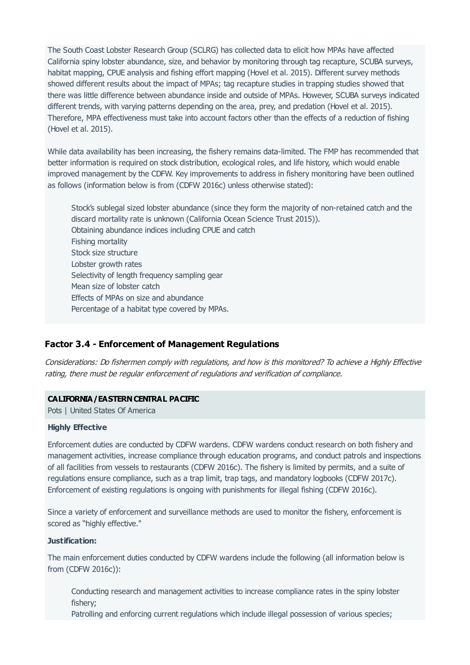The South Coast Lobster Research Group (SCLRG) has collected data to elicit how MPAs have affected California spiny lobster abundance, size, and behavior by monitoring through tag recapture, SCUBA surveys, habitat mapping, CPUE analysis and fishing effort mapping (Hovel et al. 2015). Different survey methods showed different results about the impact of MPAs; tag recapture studies in trapping studies showed that there was little difference between abundance inside and outside of MPAs. However, SCUBA surveys indicated different trends, with varying patterns depending on the area, prey, and predation (Hovel et al. 2015). Therefore, MPA effectiveness must take into account factors other than the effects of a reduction of fishing (Hovel et al. 2015).

While data availability has been increasing, the fishery remains data-limited. The FMP has recommended that better information is required on stock distribution, ecological roles, and life history, which would enable improved management by the CDFW. Key improvements to address in fishery monitoring have been outlined as follows (information below is from (CDFW 2016c) unless otherwise stated):

Stock's sublegal sized lobster abundance (since they form the majority of non-retained catch and the discard mortality rate is unknown (California Ocean Science Trust 2015)). Obtaining abundance indices including CPUE and catch Fishing mortality Stock size structure Lobster growth rates Selectivity of length frequency sampling gear Mean size of lobster catch Effects of MPAs on size and abundance Percentage of a habitat type covered by MPAs.

## **Factor 3.4 - Enforcement of Management Regulations**

Considerations: Do fishermen comply with regulations, and how is this monitored? To achieve <sup>a</sup> Highly Effective rating, there must be regular enforcement of regulations and verification of compliance.

#### **CALIFORNIA/EASTERNCENTRAL PACIFIC**

Pots | United States Of America

#### **Highly Effective**

Enforcement duties are conducted by CDFW wardens. CDFW wardens conduct research on both fishery and management activities, increase compliance through education programs, and conduct patrols and inspections of all facilities from vessels to restaurants (CDFW 2016c). The fishery is limited by permits, and a suite of regulations ensure compliance, such as a trap limit, trap tags, and mandatory logbooks (CDFW 2017c). Enforcement of existing regulations is ongoing with punishments for illegal fishing (CDFW 2016c).

Since a variety of enforcement and surveillance methods are used to monitor the fishery, enforcement is scored as "highly effective."

#### **Justification:**

The main enforcement duties conducted by CDFW wardens include the following (all information below is from (CDFW 2016c)):

Conducting research and management activities to increase compliance rates in the spiny lobster fishery;

Patrolling and enforcing current regulations which include illegal possession of various species;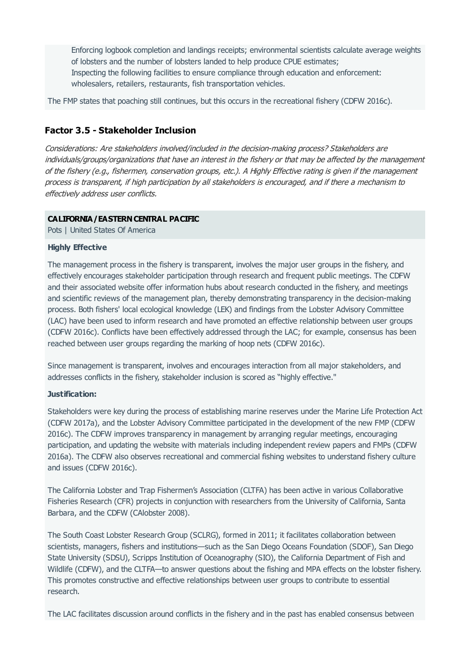Enforcing logbook completion and landings receipts; environmental scientists calculate average weights of lobsters and the number of lobsters landed to help produce CPUE estimates; Inspecting the following facilities to ensure compliance through education and enforcement: wholesalers, retailers, restaurants, fish transportation vehicles.

The FMP states that poaching still continues, but this occurs in the recreational fishery (CDFW 2016c).

## **Factor 3.5 - Stakeholder Inclusion**

Considerations: Are stakeholders involved/included in the decision-making process? Stakeholders are individuals/groups/organizations that have an interest in the fishery or that may be affected by the management of the fishery (e.g., fishermen, conservation groups, etc.). A Highly Effective rating is given if the management process is transparent, if high participation by all stakeholders is encouraged, and if there <sup>a</sup> mechanism to effectively address user conflicts.

#### **CALIFORNIA/EASTERNCENTRAL PACIFIC**

Pots | United States Of America

#### **Highly Effective**

The management process in the fishery is transparent, involves the major user groups in the fishery, and effectively encourages stakeholder participation through research and frequent public meetings. The CDFW and their associated website offer information hubs about research conducted in the fishery, and meetings and scientific reviews of the management plan, thereby demonstrating transparency in the decision-making process. Both fishers' local ecological knowledge (LEK) and findings from the Lobster Advisory Committee (LAC) have been used to inform research and have promoted an effective relationship between user groups (CDFW 2016c). Conflicts have been effectively addressed through the LAC; for example, consensus has been reached between user groups regarding the marking of hoop nets (CDFW 2016c).

Since management is transparent, involves and encourages interaction from all major stakeholders, and addresses conflicts in the fishery, stakeholder inclusion is scored as "highly effective."

#### **Justification:**

Stakeholders were key during the process of establishing marine reserves under the Marine Life Protection Act (CDFW 2017a), and the Lobster Advisory Committee participated in the development of the new FMP (CDFW 2016c). The CDFW improves transparency in management by arranging regular meetings, encouraging participation, and updating the website with materials including independent review papers and FMPs (CDFW 2016a). The CDFW also observes recreational and commercial fishing websites to understand fishery culture and issues (CDFW 2016c).

The California Lobster and Trap Fishermen's Association (CLTFA) has been active in various Collaborative Fisheries Research (CFR) projects in conjunction with researchers from the University of California, Santa Barbara, and the CDFW (CAlobster 2008).

The South Coast Lobster Research Group (SCLRG), formed in 2011; it facilitates collaboration between scientists, managers, fishers and institutions—such as the San Diego Oceans Foundation (SDOF), San Diego State University (SDSU), Scripps Institution of Oceanography (SIO), the California Department of Fish and Wildlife (CDFW), and the CLTFA—to answer questions about the fishing and MPA effects on the lobster fishery. This promotes constructive and effective relationships between user groups to contribute to essential research.

The LAC facilitates discussion around conflicts in the fishery and in the past has enabled consensus between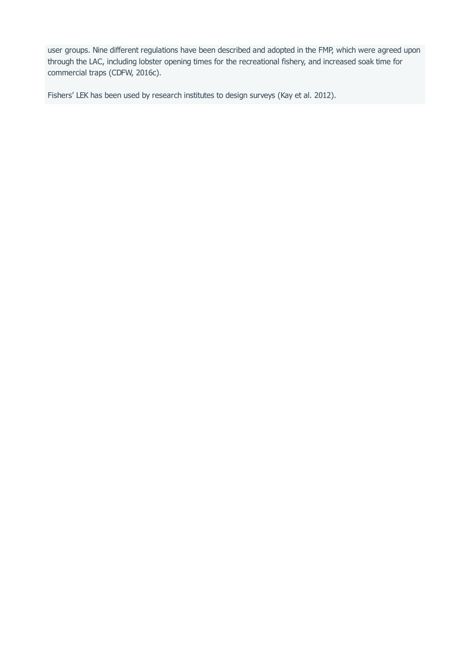user groups. Nine different regulations have been described and adopted in the FMP, which were agreed upon through the LAC, including lobster opening times for the recreational fishery, and increased soak time for commercial traps (CDFW, 2016c).

Fishers' LEK has been used by research institutes to design surveys (Kay et al. 2012).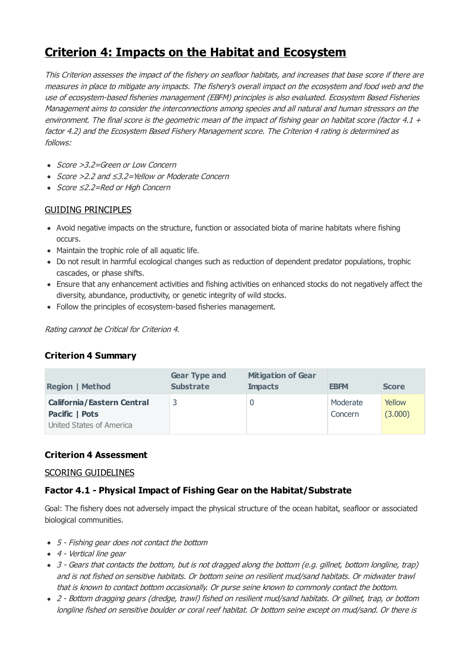# <span id="page-35-0"></span>**Criterion 4: Impacts on the Habitat and Ecosystem**

This Criterion assesses the impact of the fishery on seafloor habitats, and increases that base score if there are measures in place to mitigate any impacts. The fishery's overall impact on the ecosystem and food web and the use of ecosystem-based fisheries management (EBFM) principles is also evaluated. Ecosystem Based Fisheries Management aims to consider the interconnections among species and all natural and human stressors on the environment. The final score is the geometric mean of the impact of fishing gear on habitat score (factor 4.1  $+$ factor 4.2) and the Ecosystem Based Fishery Management score. The Criterion 4 rating is determined as follows:

- Score > 3.2=Green or Low Concern
- Score >2.2 and ≤3.2=Yellow or Moderate Concern
- Score ≤2.2=Red or High Concern

# GUIDING PRINCIPLES

- Avoid negative impacts on the structure, function or associated biota of marine habitats where fishing occurs.
- Maintain the trophic role of all aquatic life.
- Do not result in harmful ecological changes such as reduction of dependent predator populations, trophic cascades, or phase shifts.
- Ensure that any enhancement activities and fishing activities on enhanced stocks do not negatively affect the diversity, abundance, productivity, or genetic integrity of wild stocks.
- Follow the principles of ecosystem-based fisheries management.

Rating cannot be Critical for Criterion 4.

# **Criterion 4 Summary**

| <b>Region   Method</b>            | <b>Gear Type and</b><br><b>Substrate</b> | <b>Mitigation of Gear</b><br><b>Impacts</b> | <b>EBFM</b> | <b>Score</b> |
|-----------------------------------|------------------------------------------|---------------------------------------------|-------------|--------------|
| <b>California/Eastern Central</b> | 3                                        |                                             | Moderate    | Yellow       |
| Pacific   Pots                    |                                          |                                             | Concern     | (3.000)      |
| United States of America          |                                          |                                             |             |              |

# **Criterion 4 Assessment**

## SCORING GUIDELINES

# **Factor 4.1 - Physical Impact of Fishing Gear on the Habitat/Substrate**

Goal: The fishery does not adversely impact the physical structure of the ocean habitat, seafloor or associated biological communities.

- 5 Fishing gear does not contact the bottom
- 4 Vertical line gear
- 3 Gears that contacts the bottom, but is not dragged along the bottom (e.g. gillnet, bottom longline, trap) and is not fished on sensitive habitats. Or bottom seine on resilient mud/sand habitats. Or midwater trawl that is known to contact bottom occasionally. Or purse seine known to commonly contact the bottom.
- 2 Bottom dragging gears (dredge, trawl) fished on resilient mud/sand habitats. Or gillnet, trap, or bottom longline fished on sensitive boulder or coral reef habitat. Or bottom seine except on mud/sand. Or there is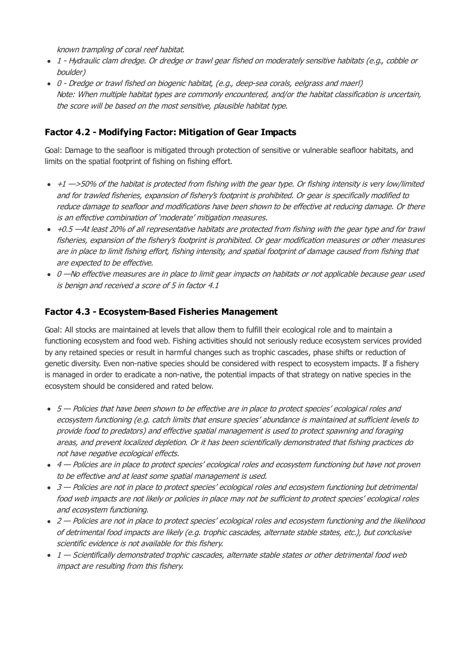known trampling of coral reef habitat.

- 1 Hydraulic clam dredge. Or dredge or trawl gear fished on moderately sensitive habitats (e.g., cobble or boulder)
- 0 Dredge or trawl fished on biogenic habitat, (e.g., deep-sea corals, eelgrass and maerl) Note: When multiple habitat types are commonly encountered, and/or the habitat classification is uncertain, the score will be based on the most sensitive, plausible habitat type.

# **Factor 4.2 - Modifying Factor: Mitigation of Gear Impacts**

Goal: Damage to the seafloor is mitigated through protection of sensitive or vulnerable seafloor habitats, and limits on the spatial footprint of fishing on fishing effort.

- $+1$   $-$ >50% of the habitat is protected from fishing with the gear type. Or fishing intensity is very low/limited and for trawled fisheries, expansion of fishery's footprint is prohibited. Or gear is specifically modified to reduce damage to seafloor and modifications have been shown to be effective at reducing damage. Or there is an effective combination of 'moderate' mitigation measures.
- $+0.5$  —At least 20% of all representative habitats are protected from fishing with the gear type and for trawl fisheries, expansion of the fishery's footprint is prohibited. Or gear modification measures or other measures are in place to limit fishing effort, fishing intensity, and spatial footprint of damage caused from fishing that are expected to be effective.
- 0 —No effective measures are in place to limit gear impacts on habitats or not applicable because gear used is benign and received a score of 5 in factor 4.1

# **Factor 4.3 - Ecosystem-Based Fisheries Management**

Goal: All stocks are maintained at levels that allow them to fulfill their ecological role and to maintain a functioning ecosystem and food web. Fishing activities should not seriously reduce ecosystem services provided by any retained species or result in harmful changes such as trophic cascades, phase shifts or reduction of genetic diversity. Even non-native species should be considered with respect to ecosystem impacts. If a fishery is managed in order to eradicate a non-native, the potential impacts of that strategy on native species in the ecosystem should be considered and rated below.

- 5 Policies that have been shown to be effective are in place to protect species' ecological roles and ecosystem functioning (e.g. catch limits that ensure species' abundance is maintained at sufficient levels to provide food to predators) and effective spatial management is used to protect spawning and foraging areas, and prevent localized depletion. Or it has been scientifically demonstrated that fishing practices do not have negative ecological effects.
- 4 Policies are in place to protect species' ecological roles and ecosystem functioning but have not proven to be effective and at least some spatial management is used.
- 3 Policies are not in place to protect species' ecological roles and ecosystem functioning but detrimental food web impacts are not likely or policies in place may not be sufficient to protect species' ecological roles and ecosystem functioning.
- 2 Policies are not in place to protect species' ecological roles and ecosystem functioning and the likelihood of detrimental food impacts are likely (e.g. trophic cascades, alternate stable states, etc.), but conclusive scientific evidence is not available for this fishery.
- 1 Scientifically demonstrated trophic cascades, alternate stable states or other detrimental food web impact are resulting from this fishery.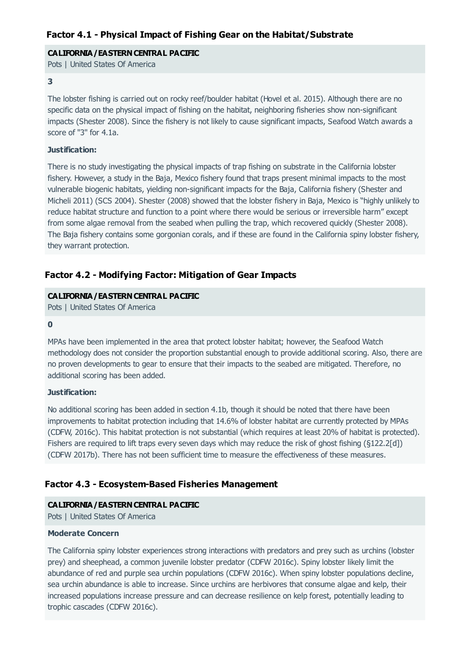#### **CALIFORNIA/EASTERN CENTRAL PACIFIC**

Pots | United States Of America

#### **3**

The lobster fishing is carried out on rocky reef/boulder habitat (Hovel et al. 2015). Although there are no specific data on the physical impact of fishing on the habitat, neighboring fisheries show non-significant impacts (Shester 2008). Since the fishery is not likely to cause significant impacts, Seafood Watch awards a score of "3" for 4.1a.

#### **Justification:**

There is no study investigating the physical impacts of trap fishing on substrate in the California lobster fishery. However, a study in the Baja, Mexico fishery found that traps present minimal impacts to the most vulnerable biogenic habitats, yielding non-significant impacts for the Baja, California fishery (Shester and Micheli 2011) (SCS 2004). Shester (2008) showed that the lobster fishery in Baja, Mexico is "highly unlikely to reduce habitat structure and function to a point where there would be serious or irreversible harm" except from some algae removal from the seabed when pulling the trap, which recovered quickly (Shester 2008). The Baja fishery contains some gorgonian corals, and if these are found in the California spiny lobster fishery, they warrant protection.

# **Factor 4.2 - Modifying Factor: Mitigation of Gear Impacts**

#### **CALIFORNIA/EASTERN CENTRAL PACIFIC**

Pots | United States Of America

#### **0**

MPAs have been implemented in the area that protect lobster habitat; however, the Seafood Watch methodology does not consider the proportion substantial enough to provide additional scoring. Also, there are no proven developments to gear to ensure that their impacts to the seabed are mitigated. Therefore, no additional scoring has been added.

#### **Justification:**

No additional scoring has been added in section 4.1b, though it should be noted that there have been improvements to habitat protection including that 14.6% of lobster habitat are currently protected by MPAs (CDFW, 2016c). This habitat protection is not substantial (which requires at least 20% of habitat is protected). Fishers are required to lift traps every seven days which may reduce the risk of ghost fishing (§122.2[d]) (CDFW 2017b). There has not been sufficient time to measure the effectiveness of these measures.

## **Factor 4.3 - Ecosystem-Based Fisheries Management**

#### **CALIFORNIA/EASTERN CENTRAL PACIFIC**

Pots | United States Of America

#### **Moderate Concern**

The California spiny lobster experiences strong interactions with predators and prey such as urchins (lobster prey) and sheephead, a common juvenile lobster predator (CDFW 2016c). Spiny lobster likely limit the abundance of red and purple sea urchin populations (CDFW 2016c). When spiny lobster populations decline, sea urchin abundance is able to increase. Since urchins are herbivores that consume algae and kelp, their increased populations increase pressure and can decrease resilience on kelp forest, potentially leading to trophic cascades (CDFW 2016c).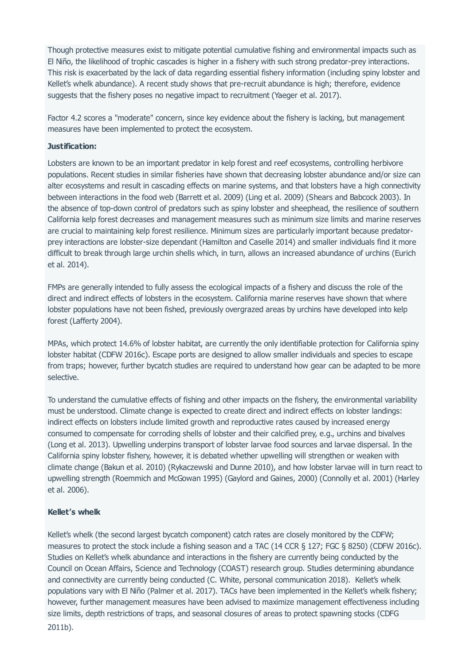Though protective measures exist to mitigate potential cumulative fishing and environmental impacts such as El Niño, the likelihood of trophic cascades is higher in a fishery with such strong predator-prey interactions. This risk is exacerbated by the lack of data regarding essential fishery information (including spiny lobster and Kellet's whelk abundance). A recent study shows that pre-recruit abundance is high; therefore, evidence suggests that the fishery poses no negative impact to recruitment (Yaeger et al. 2017).

Factor 4.2 scores a "moderate" concern, since key evidence about the fishery is lacking, but management measures have been implemented to protect the ecosystem.

#### **Justification:**

Lobsters are known to be an important predator in kelp forest and reef ecosystems, controlling herbivore populations. Recent studies in similar fisheries have shown that decreasing lobster abundance and/or size can alter ecosystems and result in cascading effects on marine systems, and that lobsters have a high connectivity between interactions in the food web (Barrett et al. 2009) (Ling et al. 2009) (Shears and Babcock 2003). In the absence of top-down control of predators such as spiny lobster and sheephead, the resilience of southern California kelp forest decreases and management measures such as minimum size limits and marine reserves are crucial to maintaining kelp forest resilience. Minimum sizes are particularly important because predatorprey interactions are lobster-size dependant (Hamilton and Caselle 2014) and smaller individuals find it more difficult to break through large urchin shells which, in turn, allows an increased abundance of urchins (Eurich et al. 2014).

FMPs are generally intended to fully assess the ecological impacts of a fishery and discuss the role of the direct and indirect effects of lobsters in the ecosystem. California marine reserves have shown that where lobster populations have not been fished, previously overgrazed areas by urchins have developed into kelp forest (Lafferty 2004).

MPAs, which protect 14.6% of lobster habitat, are currently the only identifiable protection for California spiny lobster habitat (CDFW 2016c). Escape ports are designed to allow smaller individuals and species to escape from traps; however, further bycatch studies are required to understand how gear can be adapted to be more selective.

To understand the cumulative effects of fishing and other impacts on the fishery, the environmental variability must be understood. Climate change is expected to create direct and indirect effects on lobster landings: indirect effects on lobsters include limited growth and reproductive rates caused by increased energy consumed to compensate for corroding shells of lobster and their calcified prey, e.g., urchins and bivalves (Long et al. 2013). Upwelling underpins transport of lobster larvae food sources and larvae dispersal. In the California spiny lobster fishery, however, it is debated whether upwelling will strengthen or weaken with climate change (Bakun et al. 2010) (Rykaczewski and Dunne 2010), and how lobster larvae will in turn react to upwelling strength (Roemmich and McGowan 1995) (Gaylord and Gaines, 2000) (Connolly et al. 2001) (Harley et al. 2006).

#### **Kellet's whelk**

Kellet's whelk (the second largest bycatch component) catch rates are closely monitored by the CDFW; measures to protect the stock include a fishing season and a TAC (14 CCR § 127; FGC § 8250) (CDFW 2016c). Studies on Kellet's whelk abundance and interactions in the fishery are currently being conducted by the Council on Ocean Affairs, Science and Technology (COAST) research group. Studies determining abundance and connectivity are currently being conducted (C. White, personal communication 2018). Kellet's whelk populations vary with El Niño (Palmer et al. 2017). TACs have been implemented in the Kellet's whelk fishery; however, further management measures have been advised to maximize management effectiveness including size limits, depth restrictions of traps, and seasonal closures of areas to protect spawning stocks (CDFG 2011b).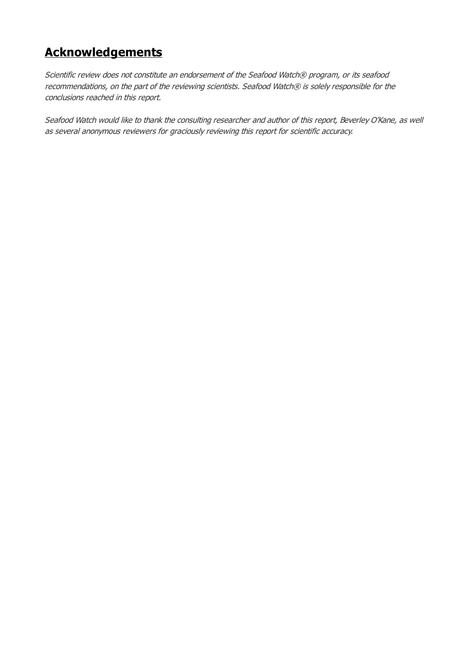# **Acknowledgements**

Scientific review does not constitute an endorsement of the Seafood Watch® program, or its seafood recommendations, on the part of the reviewing scientists. Seafood Watch® is solely responsible for the conclusions reached in this report.

Seafood Watch would like to thank the consulting researcher and author of this report, Beverley O'Kane, as well as several anonymous reviewers for graciously reviewing this report for scientific accuracy.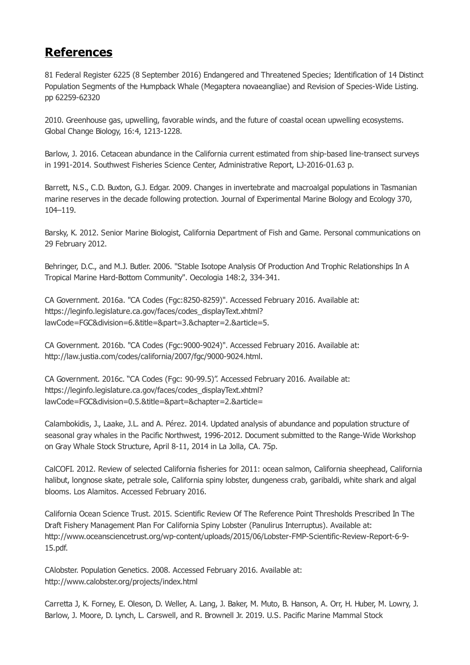# <span id="page-40-0"></span>**References**

81 Federal Register 6225 (8 September 2016) Endangered and Threatened Species; Identification of 14 Distinct Population Segments of the Humpback Whale (Megaptera novaeangliae) and Revision of Species-Wide Listing. pp 62259-62320

2010. Greenhouse gas, upwelling, favorable winds, and the future of coastal ocean upwelling ecosystems. Global Change Biology, 16:4, 1213-1228.

Barlow, J. 2016. Cetacean abundance in the California current estimated from ship-based line-transect surveys in 1991-2014. Southwest Fisheries Science Center, Administrative Report, LJ-2016-01.63 p.

Barrett, N.S., C.D. Buxton, G.J. Edgar. 2009. Changes in invertebrate and macroalgal populations in Tasmanian marine reserves in the decade following protection. Journal of Experimental Marine Biology and Ecology 370, 104–119.

Barsky, K. 2012. Senior Marine Biologist, California Department of Fish and Game. Personal communications on 29 February 2012.

Behringer, D.C., and M.J. Butler. 2006. "Stable Isotope Analysis Of Production And Trophic Relationships In A Tropical Marine Hard-Bottom Community". Oecologia 148:2, 334-341.

CA Government. 2016a. "CA Codes (Fgc:8250-8259)". Accessed February 2016. Available at: https://leginfo.legislature.ca.gov/faces/codes\_displayText.xhtml? lawCode=FGC&division=6.&title=&part=3.&chapter=2.&article=5.

CA Government. 2016b. "CA Codes (Fgc:9000-9024)". Accessed February 2016. Available at: http://law.justia.com/codes/california/2007/fgc/9000-9024.html.

CA Government. 2016c. "CA Codes (Fgc: 90-99.5)". Accessed February 2016. Available at: https://leginfo.legislature.ca.gov/faces/codes\_displayText.xhtml? lawCode=FGC&division=0.5.&title=&part=&chapter=2.&article=

Calambokidis, J., Laake, J.L. and A. Pérez. 2014. Updated analysis of abundance and population structure of seasonal gray whales in the Pacific Northwest, 1996-2012. Document submitted to the Range-Wide Workshop on Gray Whale Stock Structure, April 8-11, 2014 in La Jolla, CA. 75p.

CalCOFI. 2012. Review of selected California fisheries for 2011: ocean salmon, California sheephead, California halibut, longnose skate, petrale sole, California spiny lobster, dungeness crab, garibaldi, white shark and algal blooms. Los Alamitos. Accessed February 2016.

California Ocean Science Trust. 2015. Scientific Review Of The Reference Point Thresholds Prescribed In The Draft Fishery Management Plan For California Spiny Lobster (Panulirus Interruptus). Available at: http://www.oceansciencetrust.org/wp-content/uploads/2015/06/Lobster-FMP-Scientific-Review-Report-6-9- 15.pdf.

CAlobster. Population Genetics. 2008. Accessed February 2016. Available at: http://www.calobster.org/projects/index.html

Carretta J, K. Forney, E. Oleson, D. Weller, A. Lang, J. Baker, M. Muto, B. Hanson, A. Orr, H. Huber, M. Lowry, J. Barlow, J. Moore, D. Lynch, L. Carswell, and R. Brownell Jr. 2019. U.S. Pacific Marine Mammal Stock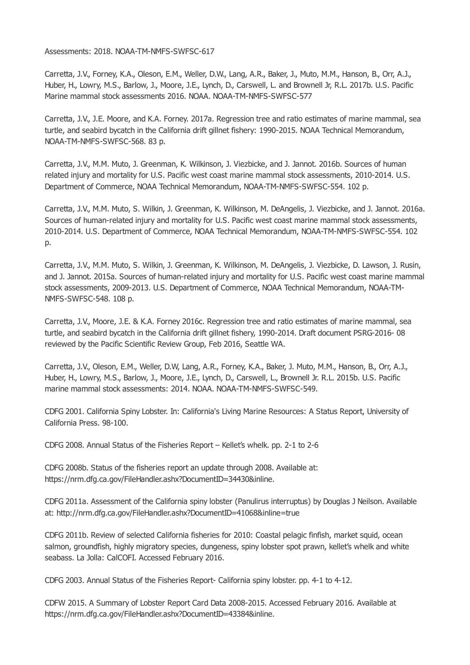<span id="page-41-0"></span>Assessments: 2018. NOAA-TM-NMFS-SWFSC-617

Carretta, J.V., Forney, K.A., Oleson, E.M., Weller, D.W., Lang, A.R., Baker, J., Muto, M.M., Hanson, B., Orr, A.J., Huber, H., Lowry, M.S., Barlow, J., Moore, J.E., Lynch, D., Carswell, L. and Brownell Jr, R.L. 2017b. U.S. Pacific Marine mammal stock assessments 2016. NOAA. NOAA-TM-NMFS-SWFSC-577

Carretta, J.V., J.E. Moore, and K.A. Forney. 2017a. Regression tree and ratio estimates of marine mammal, sea turtle, and seabird bycatch in the California drift gillnet fishery: 1990-2015. NOAA Technical Memorandum, NOAA-TM-NMFS-SWFSC-568. 83 p.

Carretta, J.V., M.M. Muto, J. Greenman, K. Wilkinson, J. Viezbicke, and J. Jannot. 2016b. Sources of human related injury and mortality for U.S. Pacific west coast marine mammal stock assessments, 2010-2014. U.S. Department of Commerce, NOAA Technical Memorandum, NOAA-TM-NMFS-SWFSC-554. 102 p.

Carretta, J.V., M.M. Muto, S. Wilkin, J. Greenman, K. Wilkinson, M. DeAngelis, J. Viezbicke, and J. Jannot. 2016a. Sources of human-related injury and mortality for U.S. Pacific west coast marine mammal stock assessments, 2010-2014. U.S. Department of Commerce, NOAA Technical Memorandum, NOAA-TM-NMFS-SWFSC-554. 102 p.

Carretta, J.V., M.M. Muto, S. Wilkin, J. Greenman, K. Wilkinson, M. DeAngelis, J. Viezbicke, D. Lawson, J. Rusin, and J. Jannot. 2015a. Sources of human-related injury and mortality for U.S. Pacific west coast marine mammal stock assessments, 2009-2013. U.S. Department of Commerce, NOAA Technical Memorandum, NOAA-TM-NMFS-SWFSC-548. 108 p.

Carretta, J.V., Moore, J.E. & K.A. Forney 2016c. Regression tree and ratio estimates of marine mammal, sea turtle, and seabird bycatch in the California drift gillnet fishery, 1990-2014. Draft document PSRG-2016- 08 reviewed by the Pacific Scientific Review Group, Feb 2016, Seattle WA.

Carretta, J.V., Oleson, E.M., Weller, D.W, Lang, A.R., Forney, K.A., Baker, J. Muto, M.M., Hanson, B., Orr, A.J., Huber, H., Lowry, M.S., Barlow, J., Moore, J.E., Lynch, D., Carswell, L., Brownell Jr. R.L. 2015b. U.S. Pacific marine mammal stock assessments: 2014. NOAA. NOAA-TM-NMFS-SWFSC-549.

CDFG 2001. California Spiny Lobster. In: California's Living Marine Resources: A Status Report, University of California Press. 98-100.

CDFG 2008. Annual Status of the Fisheries Report – Kellet's whelk. pp. 2-1 to 2-6

CDFG 2008b. Status of the fisheries report an update through 2008. Available at: https://nrm.dfg.ca.gov/FileHandler.ashx?DocumentID=34430&inline.

CDFG 2011a. Assessment of the California spiny lobster (Panulirus interruptus) by Douglas J Neilson. Available at: http://nrm.dfg.ca.gov/FileHandler.ashx?DocumentID=41068&inline=true

CDFG 2011b. Review of selected California fisheries for 2010: Coastal pelagic finfish, market squid, ocean salmon, groundfish, highly migratory species, dungeness, spiny lobster spot prawn, kellet's whelk and white seabass. La Jolla: CalCOFI. Accessed February 2016.

CDFG 2003. Annual Status of the Fisheries Report- California spiny lobster. pp. 4-1 to 4-12.

CDFW 2015. A Summary of Lobster Report Card Data 2008-2015. Accessed February 2016. Available at https://nrm.dfg.ca.gov/FileHandler.ashx?DocumentID=43384&inline.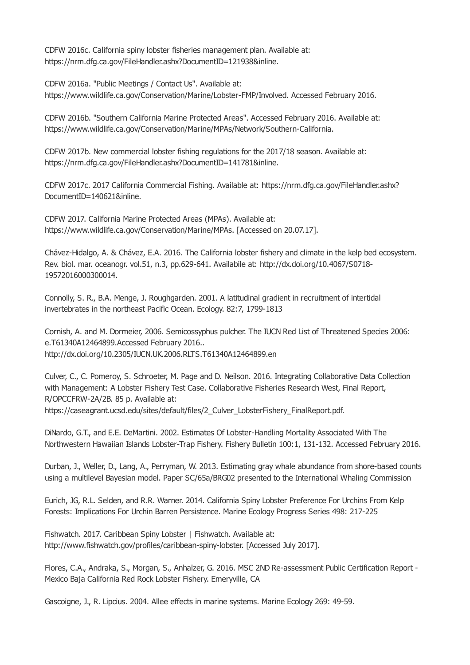CDFW 2016c. California spiny lobster fisheries management plan. Available at: https://nrm.dfg.ca.gov/FileHandler.ashx?DocumentID=121938&inline.

CDFW 2016a. "Public Meetings / Contact Us". Available at: https://www.wildlife.ca.gov/Conservation/Marine/Lobster-FMP/Involved. Accessed February 2016.

CDFW 2016b. "Southern California Marine Protected Areas". Accessed February 2016. Available at: https://www.wildlife.ca.gov/Conservation/Marine/MPAs/Network/Southern-California.

CDFW 2017b. New commercial lobster fishing regulations for the 2017/18 season. Available at: https://nrm.dfg.ca.gov/FileHandler.ashx?DocumentID=141781&inline.

CDFW 2017c. 2017 California Commercial Fishing. Available at: https://nrm.dfg.ca.gov/FileHandler.ashx? DocumentID=140621&inline.

CDFW 2017. California Marine Protected Areas (MPAs). Available at: https://www.wildlife.ca.gov/Conservation/Marine/MPAs. [Accessed on 20.07.17].

Chávez-Hidalgo, A. & Chávez, E.A. 2016. The California lobster fishery and climate in the kelp bed ecosystem. Rev. biol. mar. oceanogr. vol.51, n.3, pp.629-641. Availabile at: http://dx.doi.org/10.4067/S0718- 19572016000300014.

Connolly, S. R., B.A. Menge, J. Roughgarden. 2001. A latitudinal gradient in recruitment of intertidal invertebrates in the northeast Pacific Ocean. Ecology. 82:7, 1799-1813

Cornish, A. and M. Dormeier, 2006. Semicossyphus pulcher. The IUCN Red List of Threatened Species 2006: e.T61340A12464899.Accessed February 2016.. http://dx.doi.org/10.2305/IUCN.UK.2006.RLTS.T61340A12464899.en

Culver, C., C. Pomeroy, S. Schroeter, M. Page and D. Neilson. 2016. Integrating Collaborative Data Collection with Management: A Lobster Fishery Test Case. Collaborative Fisheries Research West, Final Report, R/OPCCFRW-2A/2B. 85 p. Available at: https://caseagrant.ucsd.edu/sites/default/files/2\_Culver\_LobsterFishery\_FinalReport.pdf.

DiNardo, G.T., and E.E. DeMartini. 2002. Estimates Of Lobster-Handling Mortality Associated With The Northwestern Hawaiian Islands Lobster-Trap Fishery. Fishery Bulletin 100:1, 131-132. Accessed February 2016.

Durban, J., Weller, D., Lang, A., Perryman, W. 2013. Estimating gray whale abundance from shore-based counts using a multilevel Bayesian model. Paper SC/65a/BRG02 presented to the International Whaling Commission

Eurich, JG, R.L. Selden, and R.R. Warner. 2014. California Spiny Lobster Preference For Urchins From Kelp Forests: Implications For Urchin Barren Persistence. Marine Ecology Progress Series 498: 217-225

Fishwatch. 2017. Caribbean Spiny Lobster | Fishwatch. Available at: http://www.fishwatch.gov/profiles/caribbean-spiny-lobster. [Accessed July 2017].

Flores, C.A., Andraka, S., Morgan, S., Anhalzer, G. 2016. MSC 2ND Re-assessment Public Certification Report - Mexico Baja California Red Rock Lobster Fishery. Emeryville, CA

Gascoigne, J., R. Lipcius. 2004. Allee effects in marine systems. Marine Ecology 269: 49-59.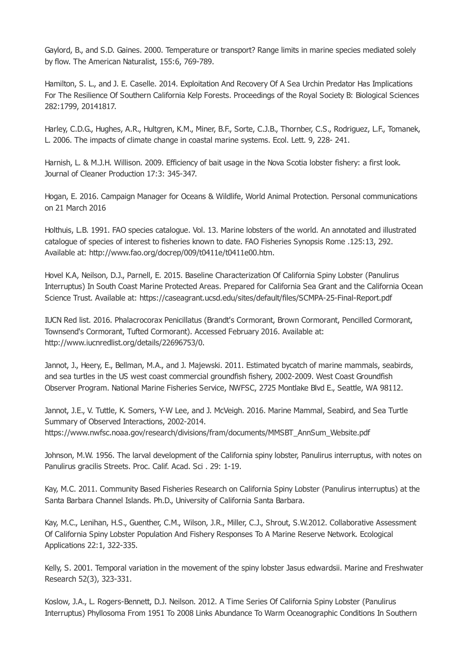Gaylord, B., and S.D. Gaines. 2000. Temperature or transport? Range limits in marine species mediated solely by flow. The American Naturalist, 155:6, 769-789.

Hamilton, S. L., and J. E. Caselle. 2014. Exploitation And Recovery Of A Sea Urchin Predator Has Implications For The Resilience Of Southern California Kelp Forests. Proceedings of the Royal Society B: Biological Sciences 282:1799, 20141817.

Harley, C.D.G., Hughes, A.R., Hultgren, K.M., Miner, B.F., Sorte, C.J.B., Thornber, C.S., Rodriguez, L.F., Tomanek, L. 2006. The impacts of climate change in coastal marine systems. Ecol. Lett. 9, 228- 241.

Harnish, L. & M.J.H. Willison. 2009. Efficiency of bait usage in the Nova Scotia lobster fishery: a first look. Journal of Cleaner Production 17:3: 345-347.

Hogan, E. 2016. Campaign Manager for Oceans & Wildlife, World Animal Protection. Personal communications on 21 March 2016

Holthuis, L.B. 1991. FAO species catalogue. Vol. 13. Marine lobsters of the world. An annotated and illustrated catalogue of species of interest to fisheries known to date. FAO Fisheries Synopsis Rome .125:13, 292. Available at: http://www.fao.org/docrep/009/t0411e/t0411e00.htm.

Hovel K.A, Neilson, D.J., Parnell, E. 2015. Baseline Characterization Of California Spiny Lobster (Panulirus Interruptus) In South Coast Marine Protected Areas. Prepared for California Sea Grant and the California Ocean Science Trust. Available at: https://caseagrant.ucsd.edu/sites/default/files/SCMPA-25-Final-Report.pdf

IUCN Red list. 2016. Phalacrocorax Penicillatus (Brandt's Cormorant, Brown Cormorant, Pencilled Cormorant, Townsend's Cormorant, Tufted Cormorant). Accessed February 2016. Available at: http://www.iucnredlist.org/details/22696753/0.

Jannot, J., Heery, E., Bellman, M.A., and J. Majewski. 2011. Estimated bycatch of marine mammals, seabirds, and sea turtles in the US west coast commercial groundfish fishery, 2002-2009. West Coast Groundfish Observer Program. National Marine Fisheries Service, NWFSC, 2725 Montlake Blvd E., Seattle, WA 98112.

Jannot, J.E., V. Tuttle, K. Somers, Y-W Lee, and J. McVeigh. 2016. Marine Mammal, Seabird, and Sea Turtle Summary of Observed Interactions, 2002-2014. https://www.nwfsc.noaa.gov/research/divisions/fram/documents/MMSBT\_AnnSum\_Website.pdf

Johnson, M.W. 1956. The larval development of the California spiny lobster, Panulirus interruptus, with notes on Panulirus gracilis Streets. Proc. Calif. Acad. Sci . 29: 1-19.

Kay, M.C. 2011. Community Based Fisheries Research on California Spiny Lobster (Panulirus interruptus) at the Santa Barbara Channel Islands. Ph.D., University of California Santa Barbara.

Kay, M.C., Lenihan, H.S., Guenther, C.M., Wilson, J.R., Miller, C.J., Shrout, S.W.2012. Collaborative Assessment Of California Spiny Lobster Population And Fishery Responses To A Marine Reserve Network. Ecological Applications 22:1, 322-335.

Kelly, S. 2001. Temporal variation in the movement of the spiny lobster Jasus edwardsii. Marine and Freshwater Research 52(3), 323-331.

Koslow, J.A., L. Rogers-Bennett, D.J. Neilson. 2012. A Time Series Of California Spiny Lobster (Panulirus Interruptus) Phyllosoma From 1951 To 2008 Links Abundance To Warm Oceanographic Conditions In Southern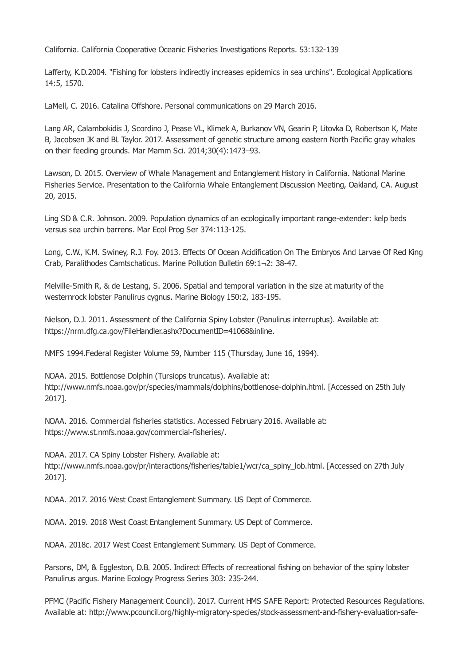California. California Cooperative Oceanic Fisheries Investigations Reports. 53:132-139

Lafferty, K.D.2004. "Fishing for lobsters indirectly increases epidemics in sea urchins". Ecological Applications 14:5, 1570.

LaMell, C. 2016. Catalina Offshore. Personal communications on 29 March 2016.

Lang AR, Calambokidis J, Scordino J, Pease VL, Klimek A, Burkanov VN, Gearin P, Litovka D, Robertson K, Mate B, Jacobsen JK and BL Taylor. 2017. Assessment of genetic structure among eastern North Pacific gray whales on their feeding grounds. Mar Mamm Sci. 2014;30(4):1473–93.

Lawson, D. 2015. Overview of Whale Management and Entanglement History in California. National Marine Fisheries Service. Presentation to the California Whale Entanglement Discussion Meeting, Oakland, CA. August 20, 2015.

Ling SD & C.R. Johnson. 2009. Population dynamics of an ecologically important range-extender: kelp beds versus sea urchin barrens. Mar Ecol Prog Ser 374:113-125.

Long, C.W., K.M. Swiney, R.J. Foy. 2013. Effects Of Ocean Acidification On The Embryos And Larvae Of Red King Crab, Paralithodes Camtschaticus. Marine Pollution Bulletin 69:1¬2: 38-47.

Melville-Smith R, & de Lestang, S. 2006. Spatial and temporal variation in the size at maturity of the westernrock lobster Panulirus cygnus. Marine Biology 150:2, 183-195.

Nielson, D.J. 2011. Assessment of the California Spiny Lobster (Panulirus interruptus). Available at: https://nrm.dfg.ca.gov/FileHandler.ashx?DocumentID=41068&inline.

NMFS 1994.Federal Register Volume 59, Number 115 (Thursday, June 16, 1994).

NOAA. 2015. Bottlenose Dolphin (Tursiops truncatus). Available at: http://www.nmfs.noaa.gov/pr/species/mammals/dolphins/bottlenose-dolphin.html. [Accessed on 25th July 2017].

NOAA. 2016. Commercial fisheries statistics. Accessed February 2016. Available at: https://www.st.nmfs.noaa.gov/commercial-fisheries/.

NOAA. 2017. CA Spiny Lobster Fishery. Available at: http://www.nmfs.noaa.gov/pr/interactions/fisheries/table1/wcr/ca\_spiny\_lob.html. [Accessed on 27th July 2017].

NOAA. 2017. 2016 West Coast Entanglement Summary. US Dept of Commerce.

NOAA. 2019. 2018 West Coast Entanglement Summary. US Dept of Commerce.

NOAA. 2018c. 2017 West Coast Entanglement Summary. US Dept of Commerce.

Parsons, DM, & Eggleston, D.B. 2005. Indirect Effects of recreational fishing on behavior of the spiny lobster Panulirus argus. Marine Ecology Progress Series 303: 235-244.

PFMC (Pacific Fishery Management Council). 2017. Current HMS SAFE Report: Protected Resources Regulations. Available at: http://www.pcouncil.org/highly-migratory-species/stock-assessment-and-fishery-evaluation-safe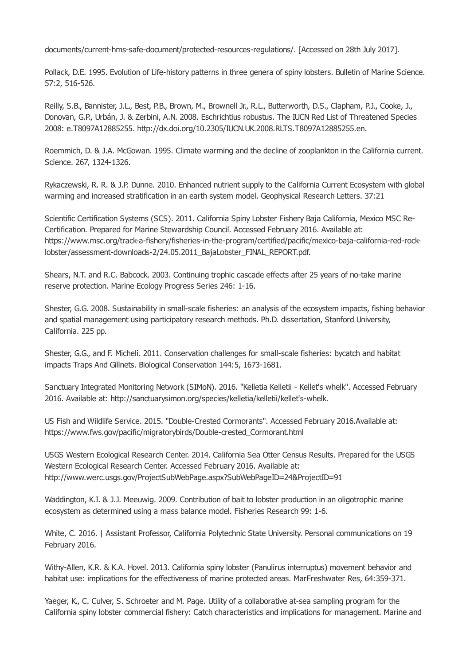documents/current-hms-safe-document/protected-resources-regulations/. [Accessed on 28th July 2017].

Pollack, D.E. 1995. Evolution of Life-history patterns in three genera of spiny lobsters. Bulletin of Marine Science. 57:2, 516-526.

Reilly, S.B., Bannister, J.L., Best, P.B., Brown, M., Brownell Jr., R.L., Butterworth, D.S., Clapham, P.J., Cooke, J., Donovan, G.P., Urbán, J. & Zerbini, A.N. 2008. Eschrichtius robustus. The IUCN Red List of Threatened Species 2008: e.T8097A12885255. http://dx.doi.org/10.2305/IUCN.UK.2008.RLTS.T8097A12885255.en.

Roemmich, D. & J.A. McGowan. 1995. Climate warming and the decline of zooplankton in the California current. Science. 267, 1324-1326.

Rykaczewski, R. R. & J.P. Dunne. 2010. Enhanced nutrient supply to the California Current Ecosystem with global warming and increased stratification in an earth system model. Geophysical Research Letters. 37:21

Scientific Certification Systems (SCS). 2011. California Spiny Lobster Fishery Baja California, Mexico MSC Re-Certification. Prepared for Marine Stewardship Council. Accessed February 2016. Available at: https://www.msc.org/track-a-fishery/fisheries-in-the-program/certified/pacific/mexico-baja-california-red-rocklobster/assessment-downloads-2/24.05.2011\_BajaLobster\_FINAL\_REPORT.pdf.

Shears, N.T. and R.C. Babcock. 2003. Continuing trophic cascade effects after 25 years of no-take marine reserve protection. Marine Ecology Progress Series 246: 1-16.

Shester, G.G. 2008. Sustainability in small-scale fisheries: an analysis of the ecosystem impacts, fishing behavior and spatial management using participatory research methods. Ph.D. dissertation, Stanford University, California. 225 pp.

Shester, G.G., and F. Micheli. 2011. Conservation challenges for small-scale fisheries: bycatch and habitat impacts Traps And Gillnets. Biological Conservation 144:5, 1673-1681.

Sanctuary Integrated Monitoring Network (SIMoN). 2016. "Kelletia Kelletii - Kellet's whelk". Accessed February 2016. Available at: http://sanctuarysimon.org/species/kelletia/kelletii/kellet's-whelk.

US Fish and Wildlife Service. 2015. "Double-Crested Cormorants". Accessed February 2016.Available at: https://www.fws.gov/pacific/migratorybirds/Double-crested\_Cormorant.html

USGS Western Ecological Research Center. 2014. California Sea Otter Census Results. Prepared for the USGS Western Ecological Research Center. Accessed February 2016. Available at: http://www.werc.usgs.gov/ProjectSubWebPage.aspx?SubWebPageID=24&ProjectID=91

Waddington, K.I. & J.J. Meeuwig. 2009. Contribution of bait to lobster production in an oligotrophic marine ecosystem as determined using a mass balance model. Fisheries Research 99: 1-6.

White, C. 2016. | Assistant Professor, California Polytechnic State University. Personal communications on 19 February 2016.

Withy-Allen, K.R. & K.A. Hovel. 2013. California spiny lobster (Panulirus interruptus) movement behavior and habitat use: implications for the effectiveness of marine protected areas. MarFreshwater Res, 64:359-371.

Yaeger, K., C. Culver, S. Schroeter and M. Page. Utility of a collaborative at-sea sampling program for the California spiny lobster commercial fishery: Catch characteristics and implications for management. Marine and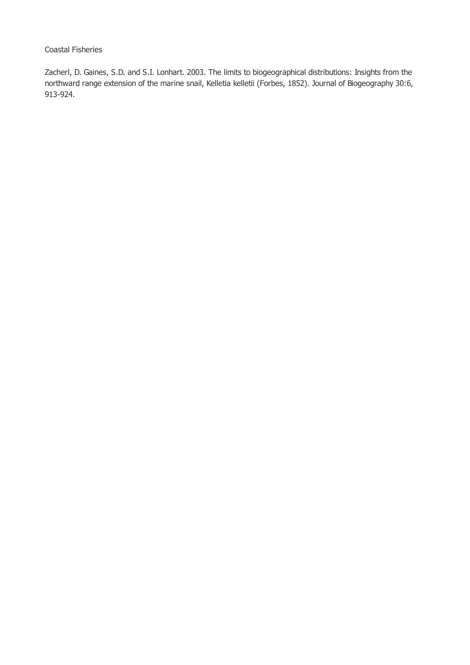#### Coastal Fisheries

Zacherl, D. Gaines, S.D. and S.I. Lonhart. 2003. The limits to biogeographical distributions: Insights from the northward range extension of the marine snail, Kelletia kelletii (Forbes, 1852). Journal of Biogeography 30:6, 913-924.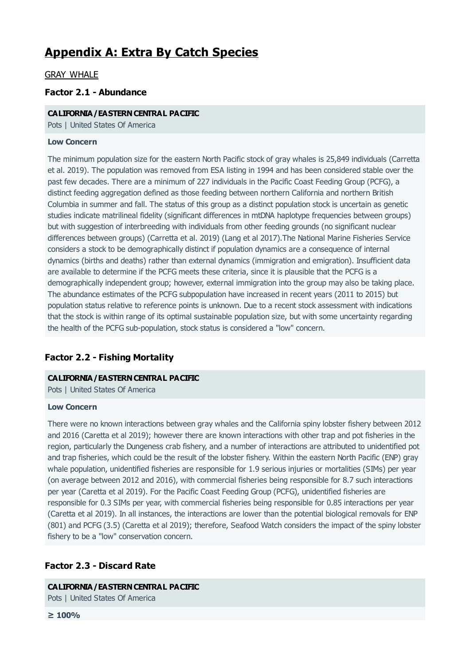# **Appendix A: Extra By Catch Species**

## GRAY WHALE

# **Factor 2.1 - Abundance**

#### **CALIFORNIA/EASTERNCENTRAL PACIFIC**

Pots | United States Of America

#### **Low Concern**

The minimum population size for the eastern North Pacific stock of gray whales is 25,849 individuals (Carretta et al. 2019). The population was removed from ESA listing in 1994 and has been considered stable over the past few decades. There are a minimum of 227 individuals in the Pacific Coast Feeding Group (PCFG), a distinct feeding aggregation defined as those feeding between northern California and northern British Columbia in summer and fall. The status of this group as a distinct population stock is uncertain as genetic studies indicate matrilineal fidelity (significant differences in mtDNA haplotype frequencies between groups) but with suggestion of interbreeding with individuals from other feeding grounds (no significant nuclear differences between groups) (Carretta et al. 2019) (Lang et al 2017).The National Marine Fisheries Service considers a stock to be demographically distinct if population dynamics are a consequence of internal dynamics (births and deaths) rather than external dynamics (immigration and emigration). Insufficient data are available to determine if the PCFG meets these criteria, since it is plausible that the PCFG is a demographically independent group; however, external immigration into the group may also be taking place. The abundance estimates of the PCFG subpopulation have increased in recent years (2011 to 2015) but population status relative to reference points is unknown. Due to a recent stock assessment with indications that the stock is within range of its optimal sustainable population size, but with some uncertainty regarding the health of the PCFG sub-population, stock status is considered a "low" concern.

# **Factor 2.2 - Fishing Mortality**

#### **CALIFORNIA/EASTERNCENTRAL PACIFIC**

Pots | United States Of America

#### **Low Concern**

There were no known interactions between gray whales and the California spiny lobster fishery between 2012 and 2016 (Caretta et al 2019); however there are known interactions with other trap and pot fisheries in the region, particularly the Dungeness crab fishery, and a number of interactions are attributed to unidentified pot and trap fisheries, which could be the result of the lobster fishery. Within the eastern North Pacific (ENP) gray whale population, unidentified fisheries are responsible for 1.9 serious injuries or mortalities (SIMs) per year (on average between 2012 and 2016), with commercial fisheries being responsible for 8.7 such interactions per year (Caretta et al 2019). For the Pacific Coast Feeding Group (PCFG), unidentified fisheries are responsible for 0.3 SIMs per year, with commercial fisheries being responsible for 0.85 interactions per year (Caretta et al 2019). In all instances, the interactions are lower than the potential biological removals for ENP (801) and PCFG (3.5) (Caretta et al 2019); therefore, Seafood Watch considers the impact of the spiny lobster fishery to be a "low" conservation concern.

## **Factor 2.3 - Discard Rate**

**CALIFORNIA/EASTERNCENTRAL PACIFIC**

Pots | United States Of America

**≥ 100%**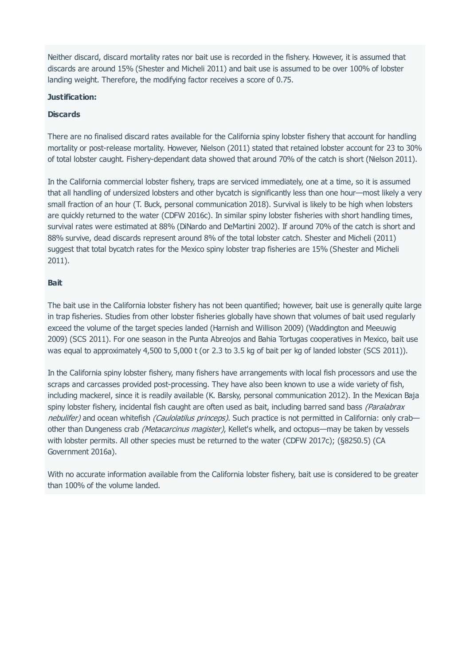<span id="page-48-0"></span>Neither discard, discard mortality rates nor bait use is recorded in the fishery. However, it is assumed that discards are around 15% (Shester and Micheli 2011) and bait use is assumed to be over 100% of lobster landing weight. Therefore, the modifying factor receives a score of 0.75.

#### **Justification:**

#### **Discards**

There are no finalised discard rates available for the California spiny lobster fishery that account for handling mortality or post-release mortality. However, Nielson (2011) stated that retained lobster account for 23 to 30% of total lobster caught. Fishery-dependant data showed that around 70% of the catch is short (Nielson 2011).

In the California commercial lobster fishery, traps are serviced immediately, one at a time, so it is assumed that all handling of undersized lobsters and other bycatch is significantly less than one hour—most likely a very small fraction of an hour (T. Buck, personal communication 2018). Survival is likely to be high when lobsters are quickly returned to the water (CDFW 2016c). In similar spiny lobster fisheries with short handling times, survival rates were estimated at 88% (DiNardo and DeMartini 2002). If around 70% of the catch is short and 88% survive, dead discards represent around 8% of the total lobster catch. Shester and Micheli (2011) suggest that total bycatch rates for the Mexico spiny lobster trap fisheries are 15% (Shester and Micheli 2011).

#### **Bait**

The bait use in the California lobster fishery has not been quantified; however, bait use is generally quite large in trap fisheries. Studies from other lobster fisheries globally have shown that volumes of bait used regularly exceed the volume of the target species landed (Harnish and Willison 2009) (Waddington and Meeuwig 2009) (SCS 2011). For one season in the Punta Abreojos and Bahia Tortugas cooperatives in Mexico, bait use was equal to approximately 4,500 to 5,000 t (or 2.3 to 3.5 kg of bait per kg of landed lobster (SCS 2011)).

In the California spiny lobster fishery, many fishers have arrangements with local fish processors and use the scraps and carcasses provided post-processing. They have also been known to use a wide variety of fish, including mackerel, since it is readily available (K. Barsky, personal communication 2012). In the Mexican Baja spiny lobster fishery, incidental fish caught are often used as bait, including barred sand bass (Paralabrax nebulifer) and ocean whitefish (Caulolatilus princeps). Such practice is not permitted in California: only crabother than Dungeness crab *(Metacarcinus magister)*, Kellet's whelk, and octopus—may be taken by vessels with lobster permits. All other species must be returned to the water (CDFW 2017c); (§8250.5) (CA Government 2016a).

With no accurate information available from the California lobster fishery, bait use is considered to be greater than 100% of the volume landed.